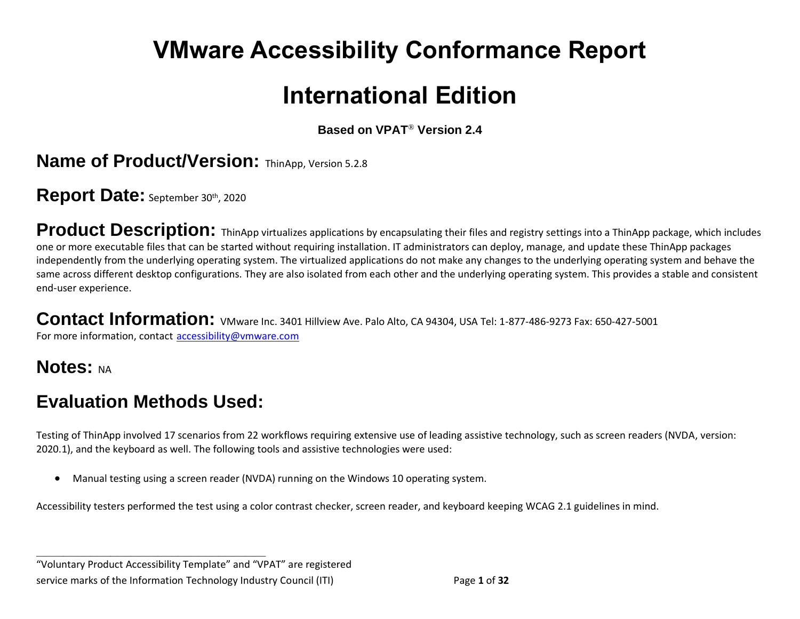# **VMware Accessibility Conformance Report**

## **International Edition**

**Based on VPAT**® **Version 2.4**

**Name of Product/Version: ThinApp, Version 5.2.8** 

Report Date: September 30th, 2020

Product Description: ThinApp virtualizes applications by encapsulating their files and registry settings into a ThinApp package, which includes one or more executable files that can be started without requiring installation. IT administrators can deploy, manage, and update these ThinApp packages independently from the underlying operating system. The virtualized applications do not make any changes to the underlying operating system and behave the same across different desktop configurations. They are also isolated from each other and the underlying operating system. This provides a stable and consistent end-user experience.

Contact Information: VMware Inc. 3401 Hillview Ave. Palo Alto, CA 94304, USA Tel: 1-877-486-9273 Fax: 650-427-5001 For more information, contact [accessibility@vmware.com](mailto:accessibility@vmware.com)

**Notes: NA** 

## **Evaluation Methods Used:**

**\_\_\_\_\_\_\_\_\_\_\_\_\_\_\_\_\_\_\_\_\_\_\_\_\_\_\_\_\_\_\_\_\_\_**

Testing of ThinApp involved 17 scenarios from 22 workflows requiring extensive use of leading assistive technology, such as screen readers (NVDA, version: 2020.1), and the keyboard as well. The following tools and assistive technologies were used:

• Manual testing using a screen reader (NVDA) running on the Windows 10 operating system.

Accessibility testers performed the test using a color contrast checker, screen reader, and keyboard keeping WCAG 2.1 guidelines in mind.

"Voluntary Product Accessibility Template" and "VPAT" are registered service marks of the Information Technology Industry Council (ITI) Page **1** of **32**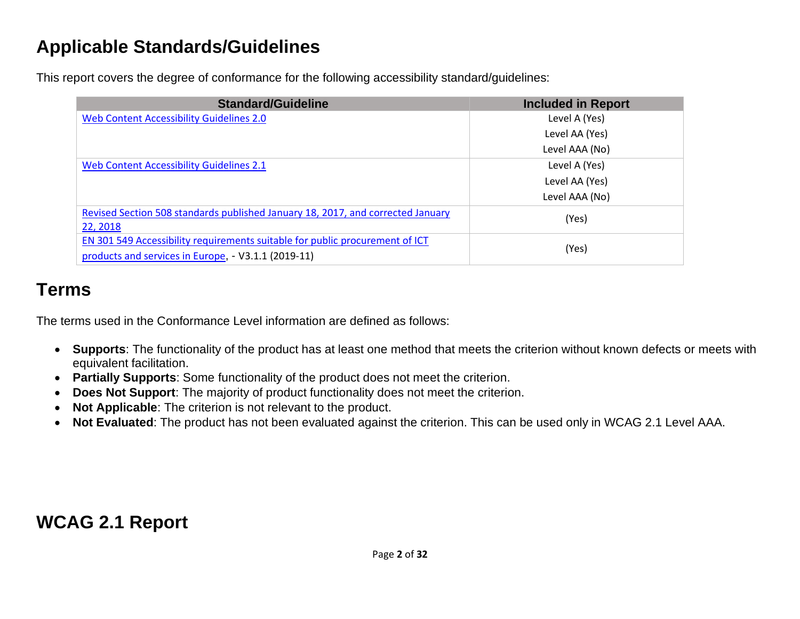## **Applicable Standards/Guidelines**

This report covers the degree of conformance for the following accessibility standard/guidelines:

| <b>Standard/Guideline</b>                                                                                                           | <b>Included in Report</b> |
|-------------------------------------------------------------------------------------------------------------------------------------|---------------------------|
| Web Content Accessibility Guidelines 2.0                                                                                            | Level A (Yes)             |
|                                                                                                                                     | Level AA (Yes)            |
|                                                                                                                                     | Level AAA (No)            |
| Web Content Accessibility Guidelines 2.1                                                                                            | Level A (Yes)             |
|                                                                                                                                     | Level AA (Yes)            |
|                                                                                                                                     | Level AAA (No)            |
| Revised Section 508 standards published January 18, 2017, and corrected January<br>22, 2018                                         | (Yes)                     |
| EN 301 549 Accessibility requirements suitable for public procurement of ICT<br>products and services in Europe, - V3.1.1 (2019-11) | (Yes)                     |

## **Terms**

The terms used in the Conformance Level information are defined as follows:

- **Supports**: The functionality of the product has at least one method that meets the criterion without known defects or meets with equivalent facilitation.
- **Partially Supports**: Some functionality of the product does not meet the criterion.
- **Does Not Support**: The majority of product functionality does not meet the criterion.
- **Not Applicable**: The criterion is not relevant to the product.
- **Not Evaluated**: The product has not been evaluated against the criterion. This can be used only in WCAG 2.1 Level AAA.

**WCAG 2.1 Report**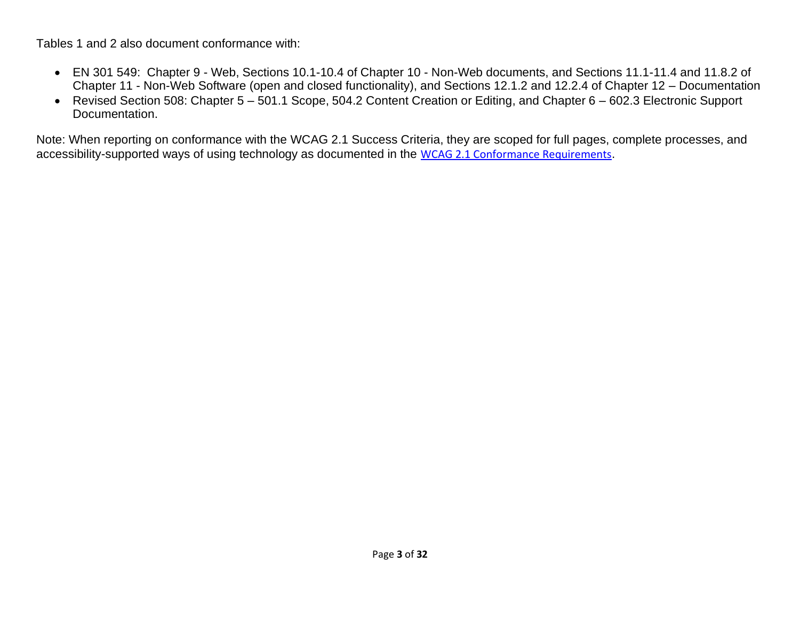Tables 1 and 2 also document conformance with:

- EN 301 549: Chapter 9 Web, Sections 10.1-10.4 of Chapter 10 Non-Web documents, and Sections 11.1-11.4 and 11.8.2 of Chapter 11 - Non-Web Software (open and closed functionality), and Sections 12.1.2 and 12.2.4 of Chapter 12 – Documentation
- Revised Section 508: Chapter 5 501.1 Scope, 504.2 Content Creation or Editing, and Chapter 6 602.3 Electronic Support Documentation.

Note: When reporting on conformance with the WCAG 2.1 Success Criteria, they are scoped for full pages, complete processes, and accessibility-supported ways of using technology as documented in the [WCAG 2.1 Conformance Requirements](https://www.w3.org/TR/WCAG21/).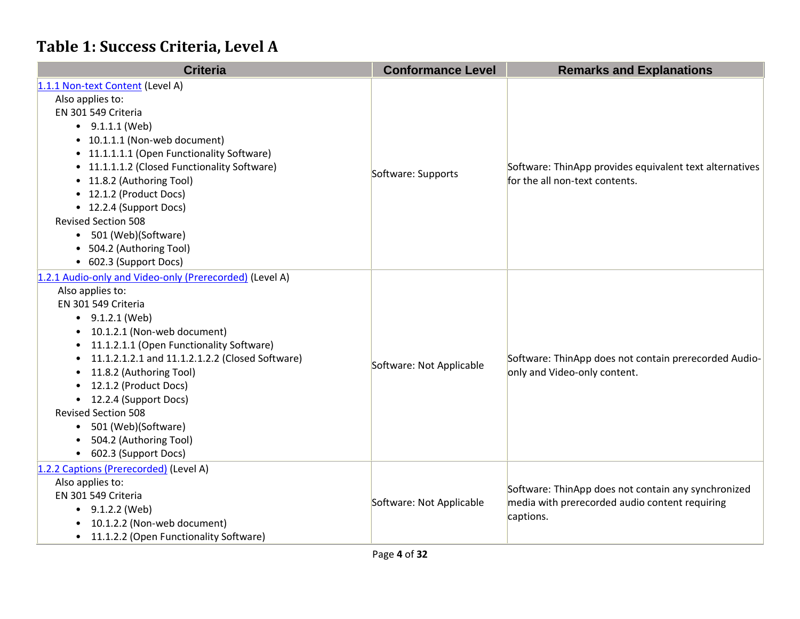#### **Table 1: Success Criteria, Level A**

| <b>Criteria</b>                                         | <b>Conformance Level</b> | <b>Remarks and Explanations</b>                                                           |
|---------------------------------------------------------|--------------------------|-------------------------------------------------------------------------------------------|
| 1.1.1 Non-text Content (Level A)                        |                          |                                                                                           |
| Also applies to:                                        |                          | Software: ThinApp provides equivalent text alternatives<br>for the all non-text contents. |
| EN 301 549 Criteria                                     |                          |                                                                                           |
| $\bullet$ 9.1.1.1 (Web)                                 |                          |                                                                                           |
| • 10.1.1.1 (Non-web document)                           |                          |                                                                                           |
| • 11.1.1.1.1 (Open Functionality Software)              |                          |                                                                                           |
| • 11.1.1.1.2 (Closed Functionality Software)            |                          |                                                                                           |
| • 11.8.2 (Authoring Tool)                               | Software: Supports       |                                                                                           |
| • 12.1.2 (Product Docs)                                 |                          |                                                                                           |
| • 12.2.4 (Support Docs)                                 |                          |                                                                                           |
| <b>Revised Section 508</b>                              |                          |                                                                                           |
| 501 (Web)(Software)                                     |                          |                                                                                           |
| • 504.2 (Authoring Tool)                                |                          |                                                                                           |
| • 602.3 (Support Docs)                                  |                          |                                                                                           |
| 1.2.1 Audio-only and Video-only (Prerecorded) (Level A) |                          | Software: ThinApp does not contain prerecorded Audio-                                     |
| Also applies to:                                        |                          |                                                                                           |
| EN 301 549 Criteria                                     |                          |                                                                                           |
| $\bullet$ 9.1.2.1 (Web)                                 |                          |                                                                                           |
| 10.1.2.1 (Non-web document)                             |                          |                                                                                           |
| 11.1.2.1.1 (Open Functionality Software)                |                          |                                                                                           |
| 11.1.2.1.2.1 and 11.1.2.1.2.2 (Closed Software)         | Software: Not Applicable |                                                                                           |
| 11.8.2 (Authoring Tool)                                 |                          | only and Video-only content.                                                              |
| 12.1.2 (Product Docs)                                   |                          |                                                                                           |
| 12.2.4 (Support Docs)                                   |                          |                                                                                           |
| <b>Revised Section 508</b>                              |                          |                                                                                           |
| 501 (Web)(Software)<br>$\bullet$                        |                          |                                                                                           |
| 504.2 (Authoring Tool)                                  |                          |                                                                                           |
| • 602.3 (Support Docs)                                  |                          |                                                                                           |
| 1.2.2 Captions (Prerecorded) (Level A)                  |                          |                                                                                           |
| Also applies to:                                        |                          | Software: ThinApp does not contain any synchronized                                       |
| EN 301 549 Criteria                                     | Software: Not Applicable | media with prerecorded audio content requiring                                            |
| • $9.1.2.2$ (Web)                                       |                          | captions.                                                                                 |
| 10.1.2.2 (Non-web document)                             |                          |                                                                                           |
| 11.1.2.2 (Open Functionality Software)                  |                          |                                                                                           |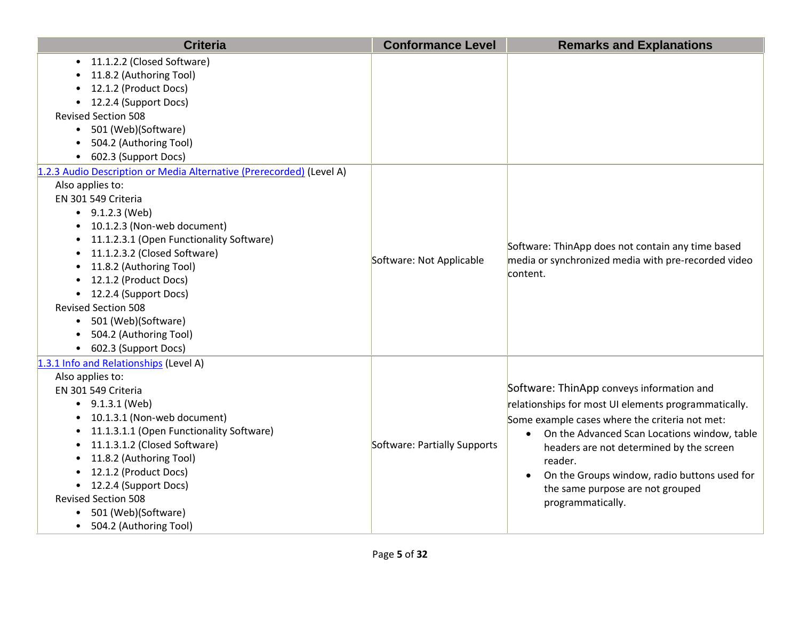| <b>Criteria</b>                                                                                                                                                                                                                                                                                                                                                                                                                                           | <b>Conformance Level</b>     | <b>Remarks and Explanations</b>                                                                                                                                                                                                                                                                                                                                                  |
|-----------------------------------------------------------------------------------------------------------------------------------------------------------------------------------------------------------------------------------------------------------------------------------------------------------------------------------------------------------------------------------------------------------------------------------------------------------|------------------------------|----------------------------------------------------------------------------------------------------------------------------------------------------------------------------------------------------------------------------------------------------------------------------------------------------------------------------------------------------------------------------------|
| • 11.1.2.2 (Closed Software)<br>11.8.2 (Authoring Tool)<br>12.1.2 (Product Docs)<br>12.2.4 (Support Docs)<br><b>Revised Section 508</b><br>• 501 (Web)(Software)<br>504.2 (Authoring Tool)<br>• 602.3 (Support Docs)                                                                                                                                                                                                                                      |                              |                                                                                                                                                                                                                                                                                                                                                                                  |
| 1.2.3 Audio Description or Media Alternative (Prerecorded) (Level A)<br>Also applies to:<br>EN 301 549 Criteria<br>$\bullet$ 9.1.2.3 (Web)<br>• 10.1.2.3 (Non-web document)<br>• 11.1.2.3.1 (Open Functionality Software)<br>• 11.1.2.3.2 (Closed Software)<br>• 11.8.2 (Authoring Tool)<br>• 12.1.2 (Product Docs)<br>• 12.2.4 (Support Docs)<br><b>Revised Section 508</b><br>• 501 (Web)(Software)<br>504.2 (Authoring Tool)<br>• 602.3 (Support Docs) | Software: Not Applicable     | Software: ThinApp does not contain any time based<br>media or synchronized media with pre-recorded video<br>content.                                                                                                                                                                                                                                                             |
| 1.3.1 Info and Relationships (Level A)<br>Also applies to:<br>EN 301 549 Criteria<br>$\bullet$ 9.1.3.1 (Web)<br>10.1.3.1 (Non-web document)<br>11.1.3.1.1 (Open Functionality Software)<br>$\bullet$<br>11.1.3.1.2 (Closed Software)<br>$\bullet$<br>11.8.2 (Authoring Tool)<br>$\bullet$<br>12.1.2 (Product Docs)<br>• 12.2.4 (Support Docs)<br><b>Revised Section 508</b><br>501 (Web)(Software)<br>• 504.2 (Authoring Tool)                            | Software: Partially Supports | Software: ThinApp conveys information and<br>relationships for most UI elements programmatically.<br>Some example cases where the criteria not met:<br>On the Advanced Scan Locations window, table<br>headers are not determined by the screen<br>reader.<br>On the Groups window, radio buttons used for<br>$\bullet$<br>the same purpose are not grouped<br>programmatically. |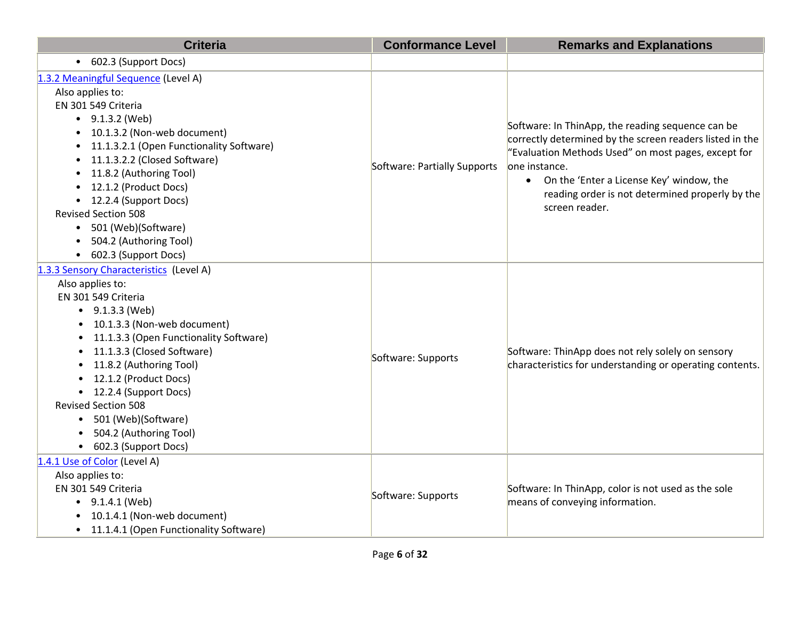| <b>Criteria</b>                                                                                                                                                                                                                                                                                                                                                                                                                                           | <b>Conformance Level</b>     | <b>Remarks and Explanations</b>                                                                                                                                                                                                                                                                          |
|-----------------------------------------------------------------------------------------------------------------------------------------------------------------------------------------------------------------------------------------------------------------------------------------------------------------------------------------------------------------------------------------------------------------------------------------------------------|------------------------------|----------------------------------------------------------------------------------------------------------------------------------------------------------------------------------------------------------------------------------------------------------------------------------------------------------|
| • 602.3 (Support Docs)                                                                                                                                                                                                                                                                                                                                                                                                                                    |                              |                                                                                                                                                                                                                                                                                                          |
| 1.3.2 Meaningful Sequence (Level A)<br>Also applies to:<br>EN 301 549 Criteria<br>$-9.1.3.2$ (Web)<br>10.1.3.2 (Non-web document)<br>$\bullet$<br>11.1.3.2.1 (Open Functionality Software)<br>$\bullet$<br>11.1.3.2.2 (Closed Software)<br>$\bullet$<br>11.8.2 (Authoring Tool)<br>$\bullet$<br>12.1.2 (Product Docs)<br>12.2.4 (Support Docs)<br><b>Revised Section 508</b><br>• 501 (Web)(Software)<br>504.2 (Authoring Tool)<br>• 602.3 (Support Docs) | Software: Partially Supports | Software: In ThinApp, the reading sequence can be<br>correctly determined by the screen readers listed in the<br>"Evaluation Methods Used" on most pages, except for<br>one instance.<br>• On the 'Enter a License Key' window, the<br>reading order is not determined properly by the<br>screen reader. |
| 1.3.3 Sensory Characteristics (Level A)<br>Also applies to:<br>EN 301 549 Criteria<br>$\bullet$ 9.1.3.3 (Web)<br>10.1.3.3 (Non-web document)<br>11.1.3.3 (Open Functionality Software)<br>11.1.3.3 (Closed Software)<br>11.8.2 (Authoring Tool)<br>12.1.2 (Product Docs)<br>• 12.2.4 (Support Docs)<br><b>Revised Section 508</b><br>• 501 (Web)(Software)<br>504.2 (Authoring Tool)<br>• 602.3 (Support Docs)                                            | Software: Supports           | Software: ThinApp does not rely solely on sensory<br>characteristics for understanding or operating contents.                                                                                                                                                                                            |
| 1.4.1 Use of Color (Level A)<br>Also applies to:<br>EN 301 549 Criteria<br>$\bullet$ 9.1.4.1 (Web)<br>10.1.4.1 (Non-web document)<br>• 11.1.4.1 (Open Functionality Software)                                                                                                                                                                                                                                                                             | Software: Supports           | Software: In ThinApp, color is not used as the sole<br>means of conveying information.                                                                                                                                                                                                                   |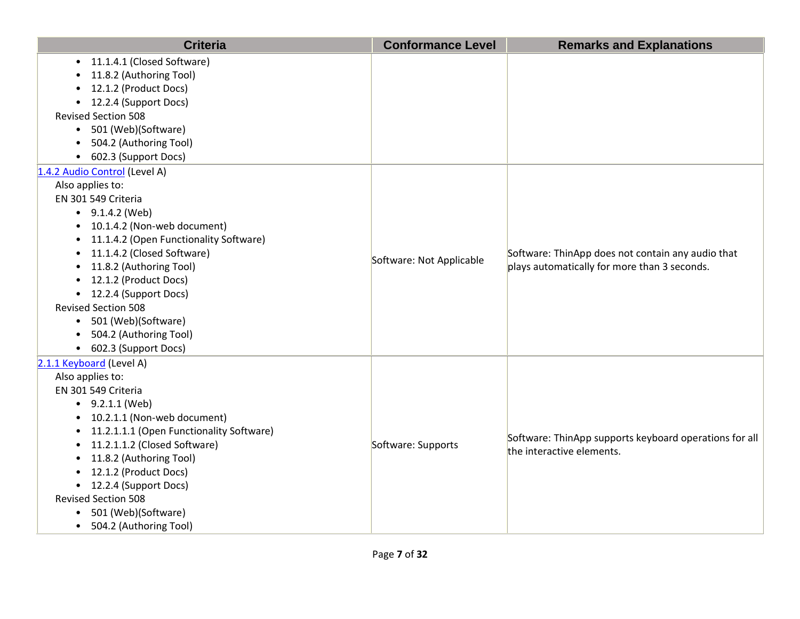| <b>Criteria</b>                                         | <b>Conformance Level</b> | <b>Remarks and Explanations</b>                                                                   |
|---------------------------------------------------------|--------------------------|---------------------------------------------------------------------------------------------------|
| • 11.1.4.1 (Closed Software)<br>11.8.2 (Authoring Tool) |                          |                                                                                                   |
| 12.1.2 (Product Docs)                                   |                          |                                                                                                   |
| • 12.2.4 (Support Docs)                                 |                          |                                                                                                   |
| <b>Revised Section 508</b>                              |                          |                                                                                                   |
| • 501 (Web)(Software)                                   |                          |                                                                                                   |
| • 504.2 (Authoring Tool)                                |                          |                                                                                                   |
| • 602.3 (Support Docs)                                  |                          |                                                                                                   |
| 1.4.2 Audio Control (Level A)                           |                          |                                                                                                   |
| Also applies to:                                        |                          |                                                                                                   |
| EN 301 549 Criteria                                     |                          |                                                                                                   |
| $\bullet$ 9.1.4.2 (Web)                                 |                          |                                                                                                   |
| • 10.1.4.2 (Non-web document)                           |                          | Software: ThinApp does not contain any audio that<br>plays automatically for more than 3 seconds. |
| • 11.1.4.2 (Open Functionality Software)                |                          |                                                                                                   |
| • 11.1.4.2 (Closed Software)                            | Software: Not Applicable |                                                                                                   |
| • 11.8.2 (Authoring Tool)                               |                          |                                                                                                   |
| • 12.1.2 (Product Docs)                                 |                          |                                                                                                   |
| • 12.2.4 (Support Docs)                                 |                          |                                                                                                   |
| <b>Revised Section 508</b>                              |                          |                                                                                                   |
| • 501 (Web)(Software)                                   |                          |                                                                                                   |
| • 504.2 (Authoring Tool)                                |                          |                                                                                                   |
| • 602.3 (Support Docs)                                  |                          |                                                                                                   |
| 2.1.1 Keyboard (Level A)                                |                          |                                                                                                   |
| Also applies to:<br>EN 301 549 Criteria                 |                          |                                                                                                   |
| $\bullet$ 9.2.1.1 (Web)                                 |                          |                                                                                                   |
| • 10.2.1.1 (Non-web document)                           |                          |                                                                                                   |
| • 11.2.1.1.1 (Open Functionality Software)              |                          |                                                                                                   |
| • 11.2.1.1.2 (Closed Software)                          | Software: Supports       | Software: ThinApp supports keyboard operations for all                                            |
| • 11.8.2 (Authoring Tool)                               |                          | the interactive elements.                                                                         |
| • 12.1.2 (Product Docs)                                 |                          |                                                                                                   |
| • 12.2.4 (Support Docs)                                 |                          |                                                                                                   |
| <b>Revised Section 508</b>                              |                          |                                                                                                   |
| • 501 (Web)(Software)                                   |                          |                                                                                                   |
| • 504.2 (Authoring Tool)                                |                          |                                                                                                   |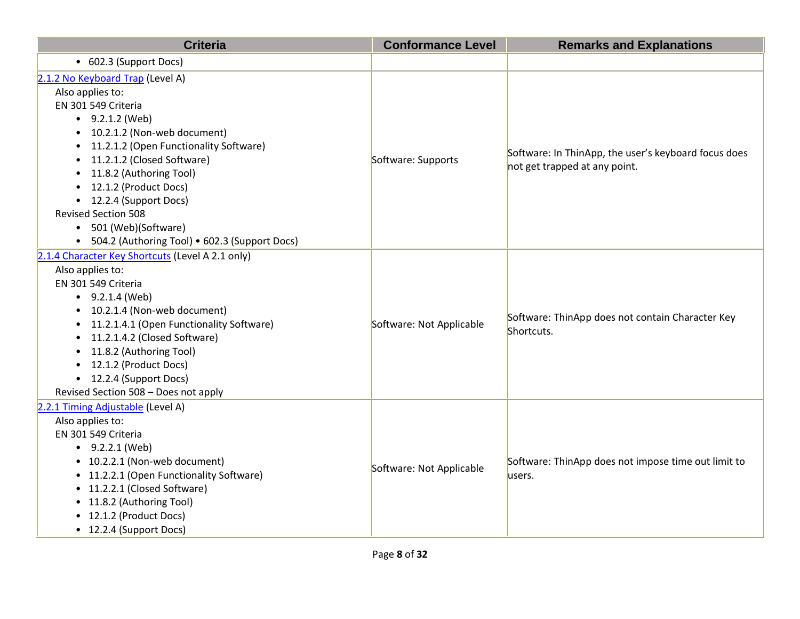| <b>Criteria</b>                                                                                                                                                                                                                                                                                                                                                                                                                               | <b>Conformance Level</b> | <b>Remarks and Explanations</b>                                                       |
|-----------------------------------------------------------------------------------------------------------------------------------------------------------------------------------------------------------------------------------------------------------------------------------------------------------------------------------------------------------------------------------------------------------------------------------------------|--------------------------|---------------------------------------------------------------------------------------|
| • 602.3 (Support Docs)                                                                                                                                                                                                                                                                                                                                                                                                                        |                          |                                                                                       |
| 2.1.2 No Keyboard Trap (Level A)<br>Also applies to:<br>EN 301 549 Criteria<br>$\bullet$ 9.2.1.2 (Web)<br>10.2.1.2 (Non-web document)<br>$\bullet$<br>11.2.1.2 (Open Functionality Software)<br>$\bullet$<br>11.2.1.2 (Closed Software)<br>$\bullet$<br>11.8.2 (Authoring Tool)<br>12.1.2 (Product Docs)<br>• 12.2.4 (Support Docs)<br><b>Revised Section 508</b><br>• 501 (Web)(Software)<br>• 504.2 (Authoring Tool) • 602.3 (Support Docs) | Software: Supports       | Software: In ThinApp, the user's keyboard focus does<br>not get trapped at any point. |
| 2.1.4 Character Key Shortcuts (Level A 2.1 only)<br>Also applies to:<br>EN 301 549 Criteria<br>$\bullet$ 9.2.1.4 (Web)<br>10.2.1.4 (Non-web document)<br>$\bullet$<br>11.2.1.4.1 (Open Functionality Software)<br>11.2.1.4.2 (Closed Software)<br>11.8.2 (Authoring Tool)<br>12.1.2 (Product Docs)<br>• 12.2.4 (Support Docs)<br>Revised Section 508 - Does not apply                                                                         | Software: Not Applicable | Software: ThinApp does not contain Character Key<br>Shortcuts.                        |
| 2.2.1 Timing Adjustable (Level A)<br>Also applies to:<br>EN 301 549 Criteria<br>$-9.2.2.1$ (Web)<br>• 10.2.2.1 (Non-web document)<br>• 11.2.2.1 (Open Functionality Software)<br>• 11.2.2.1 (Closed Software)<br>• 11.8.2 (Authoring Tool)<br>• 12.1.2 (Product Docs)<br>• 12.2.4 (Support Docs)                                                                                                                                              | Software: Not Applicable | Software: ThinApp does not impose time out limit to<br>users.                         |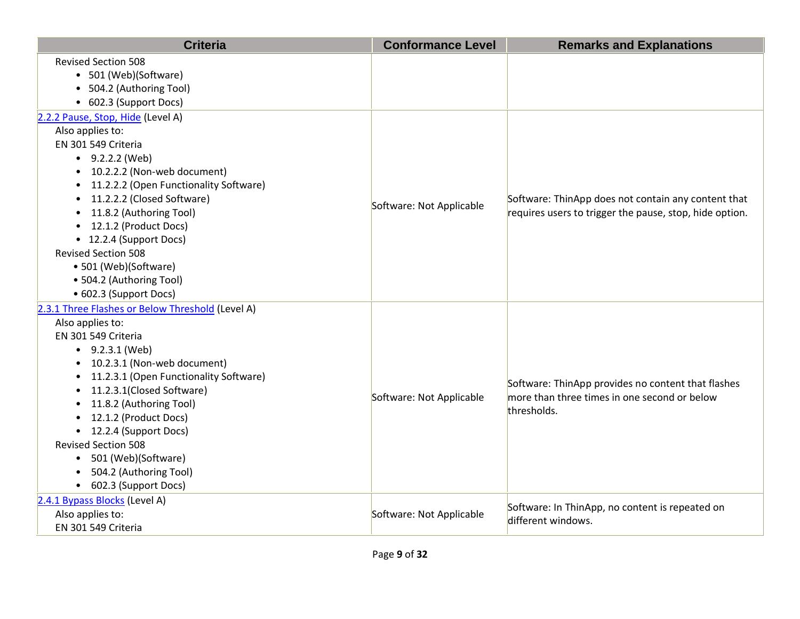| <b>Criteria</b>                                                                                                                                                                                                                                                                                                                                                                                                          | <b>Conformance Level</b> | <b>Remarks and Explanations</b>                                                                                   |
|--------------------------------------------------------------------------------------------------------------------------------------------------------------------------------------------------------------------------------------------------------------------------------------------------------------------------------------------------------------------------------------------------------------------------|--------------------------|-------------------------------------------------------------------------------------------------------------------|
| <b>Revised Section 508</b><br>• 501 (Web)(Software)<br>• 504.2 (Authoring Tool)                                                                                                                                                                                                                                                                                                                                          |                          |                                                                                                                   |
| • 602.3 (Support Docs)                                                                                                                                                                                                                                                                                                                                                                                                   |                          |                                                                                                                   |
| 2.2.2 Pause, Stop, Hide (Level A)<br>Also applies to:<br>EN 301 549 Criteria<br>$-9.2.2.2$ (Web)<br>• 10.2.2.2 (Non-web document)<br>• 11.2.2.2 (Open Functionality Software)<br>11.2.2.2 (Closed Software)<br>11.8.2 (Authoring Tool)<br>• 12.1.2 (Product Docs)<br>• 12.2.4 (Support Docs)<br><b>Revised Section 508</b><br>• 501 (Web)(Software)<br>• 504.2 (Authoring Tool)<br>• 602.3 (Support Docs)                | Software: Not Applicable | Software: ThinApp does not contain any content that<br>requires users to trigger the pause, stop, hide option.    |
| 2.3.1 Three Flashes or Below Threshold (Level A)<br>Also applies to:<br>EN 301 549 Criteria<br>$\bullet$ 9.2.3.1 (Web)<br>• 10.2.3.1 (Non-web document)<br>11.2.3.1 (Open Functionality Software)<br>11.2.3.1(Closed Software)<br>11.8.2 (Authoring Tool)<br>12.1.2 (Product Docs)<br>• 12.2.4 (Support Docs)<br><b>Revised Section 508</b><br>• 501 (Web)(Software)<br>504.2 (Authoring Tool)<br>• 602.3 (Support Docs) | Software: Not Applicable | Software: ThinApp provides no content that flashes<br>more than three times in one second or below<br>thresholds. |
| 2.4.1 Bypass Blocks (Level A)<br>Also applies to:<br>EN 301 549 Criteria                                                                                                                                                                                                                                                                                                                                                 | Software: Not Applicable | Software: In ThinApp, no content is repeated on<br>different windows.                                             |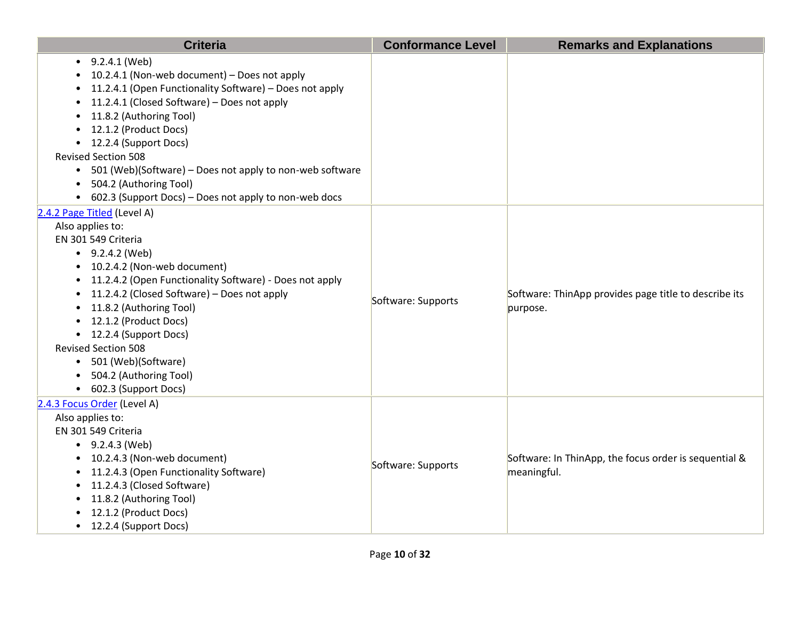| <b>Criteria</b>                                                                                                                                                                                                                                                                                                                                                                                                                                         | <b>Conformance Level</b> | <b>Remarks and Explanations</b>                                      |
|---------------------------------------------------------------------------------------------------------------------------------------------------------------------------------------------------------------------------------------------------------------------------------------------------------------------------------------------------------------------------------------------------------------------------------------------------------|--------------------------|----------------------------------------------------------------------|
| $-9.2.4.1$ (Web)<br>10.2.4.1 (Non-web document) - Does not apply<br>11.2.4.1 (Open Functionality Software) - Does not apply<br>11.2.4.1 (Closed Software) - Does not apply<br>11.8.2 (Authoring Tool)<br>12.1.2 (Product Docs)<br>• 12.2.4 (Support Docs)<br><b>Revised Section 508</b><br>• 501 (Web)(Software) - Does not apply to non-web software<br>504.2 (Authoring Tool)<br>$\bullet$<br>• 602.3 (Support Docs) – Does not apply to non-web docs |                          |                                                                      |
| 2.4.2 Page Titled (Level A)<br>Also applies to:<br>EN 301 549 Criteria<br>$-9.2.4.2$ (Web)<br>• 10.2.4.2 (Non-web document)<br>11.2.4.2 (Open Functionality Software) - Does not apply<br>11.2.4.2 (Closed Software) - Does not apply<br>11.8.2 (Authoring Tool)<br>• 12.1.2 (Product Docs)<br>• 12.2.4 (Support Docs)<br><b>Revised Section 508</b><br>• 501 (Web)(Software)<br>504.2 (Authoring Tool)<br>• 602.3 (Support Docs)                       | Software: Supports       | Software: ThinApp provides page title to describe its<br>purpose.    |
| 2.4.3 Focus Order (Level A)<br>Also applies to:<br>EN 301 549 Criteria<br>$-9.2.4.3$ (Web)<br>10.2.4.3 (Non-web document)<br>11.2.4.3 (Open Functionality Software)<br>$\bullet$<br>11.2.4.3 (Closed Software)<br>$\bullet$<br>11.8.2 (Authoring Tool)<br>$\bullet$<br>12.1.2 (Product Docs)<br>• 12.2.4 (Support Docs)                                                                                                                                 | Software: Supports       | Software: In ThinApp, the focus order is sequential &<br>meaningful. |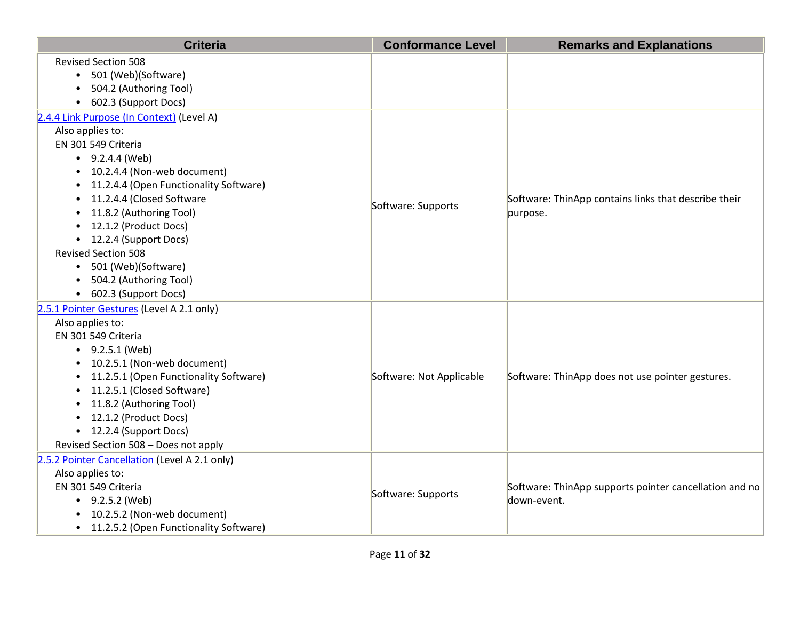| <b>Criteria</b>                                     | <b>Conformance Level</b> | <b>Remarks and Explanations</b>                        |
|-----------------------------------------------------|--------------------------|--------------------------------------------------------|
| <b>Revised Section 508</b><br>• 501 (Web)(Software) |                          |                                                        |
| • 504.2 (Authoring Tool)                            |                          |                                                        |
| • 602.3 (Support Docs)                              |                          |                                                        |
| 2.4.4 Link Purpose (In Context) (Level A)           |                          |                                                        |
| Also applies to:                                    |                          |                                                        |
| EN 301 549 Criteria                                 |                          |                                                        |
| $\bullet$ 9.2.4.4 (Web)                             |                          |                                                        |
| • 10.2.4.4 (Non-web document)                       |                          |                                                        |
| • 11.2.4.4 (Open Functionality Software)            |                          |                                                        |
| 11.2.4.4 (Closed Software                           |                          | Software: ThinApp contains links that describe their   |
| 11.8.2 (Authoring Tool)<br>$\bullet$                | Software: Supports       | purpose.                                               |
| • 12.1.2 (Product Docs)                             |                          |                                                        |
| • 12.2.4 (Support Docs)                             |                          |                                                        |
| <b>Revised Section 508</b>                          |                          |                                                        |
| • 501 (Web)(Software)                               |                          |                                                        |
| • 504.2 (Authoring Tool)                            |                          |                                                        |
| • 602.3 (Support Docs)                              |                          |                                                        |
| 2.5.1 Pointer Gestures (Level A 2.1 only)           |                          |                                                        |
| Also applies to:                                    |                          |                                                        |
| EN 301 549 Criteria                                 |                          |                                                        |
| $\bullet$ 9.2.5.1 (Web)                             |                          |                                                        |
| • 10.2.5.1 (Non-web document)                       |                          |                                                        |
| • 11.2.5.1 (Open Functionality Software)            | Software: Not Applicable | Software: ThinApp does not use pointer gestures.       |
| • 11.2.5.1 (Closed Software)                        |                          |                                                        |
| 11.8.2 (Authoring Tool)<br>• 12.1.2 (Product Docs)  |                          |                                                        |
| • 12.2.4 (Support Docs)                             |                          |                                                        |
| Revised Section 508 - Does not apply                |                          |                                                        |
| 2.5.2 Pointer Cancellation (Level A 2.1 only)       |                          |                                                        |
| Also applies to:                                    |                          |                                                        |
| EN 301 549 Criteria                                 |                          | Software: ThinApp supports pointer cancellation and no |
| $-9.2.5.2$ (Web)                                    | Software: Supports       | down-event.                                            |
| • 10.2.5.2 (Non-web document)                       |                          |                                                        |
| • 11.2.5.2 (Open Functionality Software)            |                          |                                                        |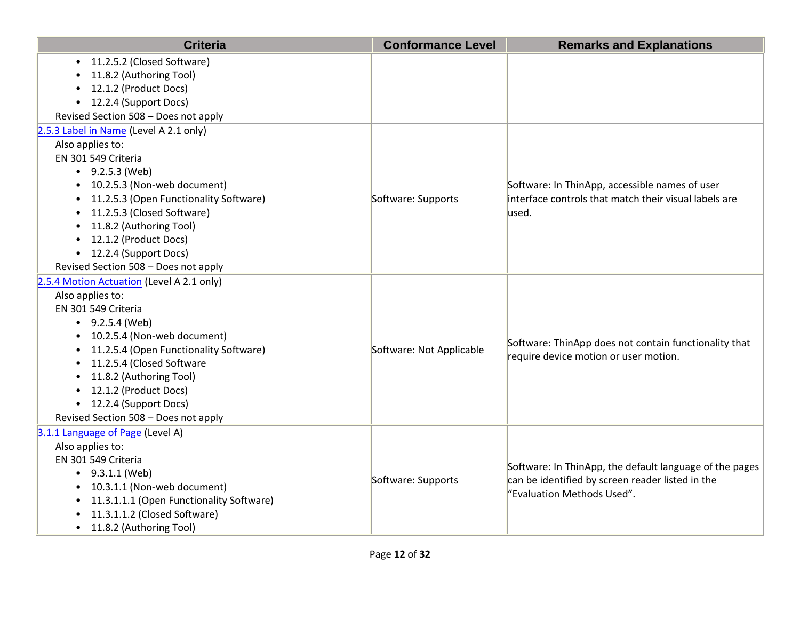| • 11.2.5.2 (Closed Software)<br>11.8.2 (Authoring Tool)<br>12.1.2 (Product Docs)<br>12.2.4 (Support Docs)<br>$\bullet$<br>Revised Section 508 - Does not apply<br>2.5.3 Label in Name (Level A 2.1 only) |
|----------------------------------------------------------------------------------------------------------------------------------------------------------------------------------------------------------|
|                                                                                                                                                                                                          |
|                                                                                                                                                                                                          |
|                                                                                                                                                                                                          |
|                                                                                                                                                                                                          |
|                                                                                                                                                                                                          |
|                                                                                                                                                                                                          |
| Also applies to:                                                                                                                                                                                         |
| EN 301 549 Criteria                                                                                                                                                                                      |
| $\bullet$ 9.2.5.3 (Web)                                                                                                                                                                                  |
| 10.2.5.3 (Non-web document)<br>Software: In ThinApp, accessible names of user                                                                                                                            |
| interface controls that match their visual labels are<br>11.2.5.3 (Open Functionality Software)<br>Software: Supports<br>$\bullet$                                                                       |
| 11.2.5.3 (Closed Software)<br>used.<br>$\bullet$                                                                                                                                                         |
| 11.8.2 (Authoring Tool)<br>$\bullet$                                                                                                                                                                     |
| • 12.1.2 (Product Docs)                                                                                                                                                                                  |
| • 12.2.4 (Support Docs)                                                                                                                                                                                  |
| Revised Section 508 - Does not apply                                                                                                                                                                     |
| 2.5.4 Motion Actuation (Level A 2.1 only)                                                                                                                                                                |
| Also applies to:                                                                                                                                                                                         |
| EN 301 549 Criteria                                                                                                                                                                                      |
| $\bullet$ 9.2.5.4 (Web)                                                                                                                                                                                  |
| 10.2.5.4 (Non-web document)<br>Software: ThinApp does not contain functionality that                                                                                                                     |
| 11.2.5.4 (Open Functionality Software)<br>Software: Not Applicable<br>$\bullet$<br>require device motion or user motion.                                                                                 |
| 11.2.5.4 (Closed Software<br>$\bullet$                                                                                                                                                                   |
| 11.8.2 (Authoring Tool)<br>$\bullet$                                                                                                                                                                     |
| 12.1.2 (Product Docs)<br>$\bullet$                                                                                                                                                                       |
| • 12.2.4 (Support Docs)                                                                                                                                                                                  |
| Revised Section 508 - Does not apply                                                                                                                                                                     |
| 3.1.1 Language of Page (Level A)                                                                                                                                                                         |
| Also applies to:                                                                                                                                                                                         |
| EN 301 549 Criteria<br>Software: In ThinApp, the default language of the pages                                                                                                                           |
| $\bullet$ 9.3.1.1 (Web)<br>can be identified by screen reader listed in the<br>Software: Supports                                                                                                        |
| • 10.3.1.1 (Non-web document)<br>"Evaluation Methods Used".<br>• 11.3.1.1.1 (Open Functionality Software)                                                                                                |
| 11.3.1.1.2 (Closed Software)                                                                                                                                                                             |
| • 11.8.2 (Authoring Tool)                                                                                                                                                                                |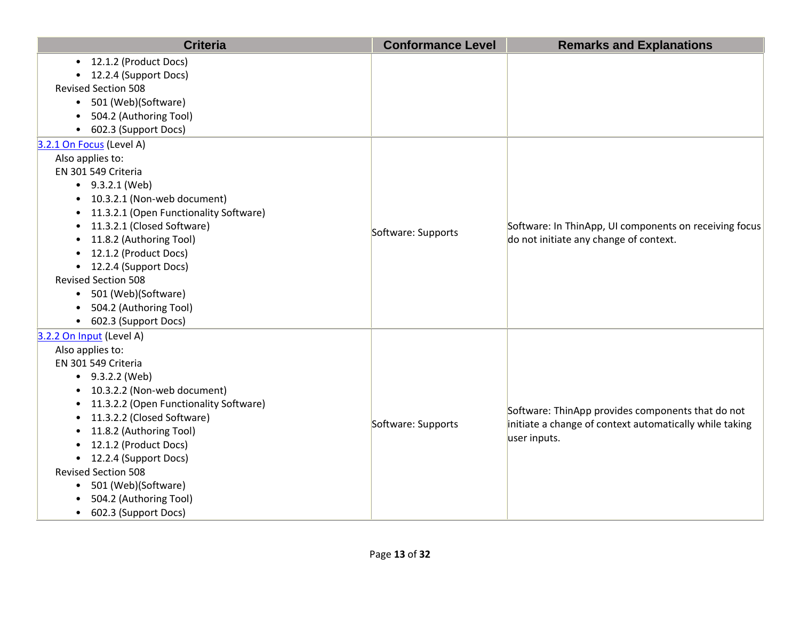|           | <b>Criteria</b>                        | <b>Conformance Level</b> | <b>Remarks and Explanations</b>                         |
|-----------|----------------------------------------|--------------------------|---------------------------------------------------------|
|           | • 12.1.2 (Product Docs)                |                          |                                                         |
| $\bullet$ | 12.2.4 (Support Docs)                  |                          |                                                         |
|           | <b>Revised Section 508</b>             |                          |                                                         |
| $\bullet$ | 501 (Web)(Software)                    |                          |                                                         |
|           | 504.2 (Authoring Tool)                 |                          |                                                         |
| $\bullet$ | 602.3 (Support Docs)                   |                          |                                                         |
|           | 3.2.1 On Focus (Level A)               |                          |                                                         |
|           | Also applies to:                       |                          |                                                         |
|           | EN 301 549 Criteria                    |                          |                                                         |
|           | $\bullet$ 9.3.2.1 (Web)                |                          |                                                         |
| $\bullet$ | 10.3.2.1 (Non-web document)            |                          |                                                         |
| $\bullet$ | 11.3.2.1 (Open Functionality Software) |                          |                                                         |
| $\bullet$ | 11.3.2.1 (Closed Software)             | Software: Supports       | Software: In ThinApp, UI components on receiving focus  |
| $\bullet$ | 11.8.2 (Authoring Tool)                |                          | do not initiate any change of context.                  |
| $\bullet$ | 12.1.2 (Product Docs)                  |                          |                                                         |
|           | • 12.2.4 (Support Docs)                |                          |                                                         |
|           | <b>Revised Section 508</b>             |                          |                                                         |
| $\bullet$ | 501 (Web)(Software)                    |                          |                                                         |
| $\bullet$ | 504.2 (Authoring Tool)                 |                          |                                                         |
|           | • 602.3 (Support Docs)                 |                          |                                                         |
|           | 3.2.2 On Input (Level A)               |                          |                                                         |
|           | Also applies to:                       |                          |                                                         |
|           | EN 301 549 Criteria                    |                          |                                                         |
|           | $-9.3.2.2$ (Web)                       |                          |                                                         |
|           | 10.3.2.2 (Non-web document)            |                          |                                                         |
| $\bullet$ | 11.3.2.2 (Open Functionality Software) |                          | Software: ThinApp provides components that do not       |
| $\bullet$ | 11.3.2.2 (Closed Software)             | Software: Supports       | initiate a change of context automatically while taking |
| $\bullet$ | 11.8.2 (Authoring Tool)                |                          | user inputs.                                            |
| $\bullet$ | 12.1.2 (Product Docs)                  |                          |                                                         |
| $\bullet$ | 12.2.4 (Support Docs)                  |                          |                                                         |
|           | <b>Revised Section 508</b>             |                          |                                                         |
| $\bullet$ | 501 (Web)(Software)                    |                          |                                                         |
|           | 504.2 (Authoring Tool)                 |                          |                                                         |
| $\bullet$ | 602.3 (Support Docs)                   |                          |                                                         |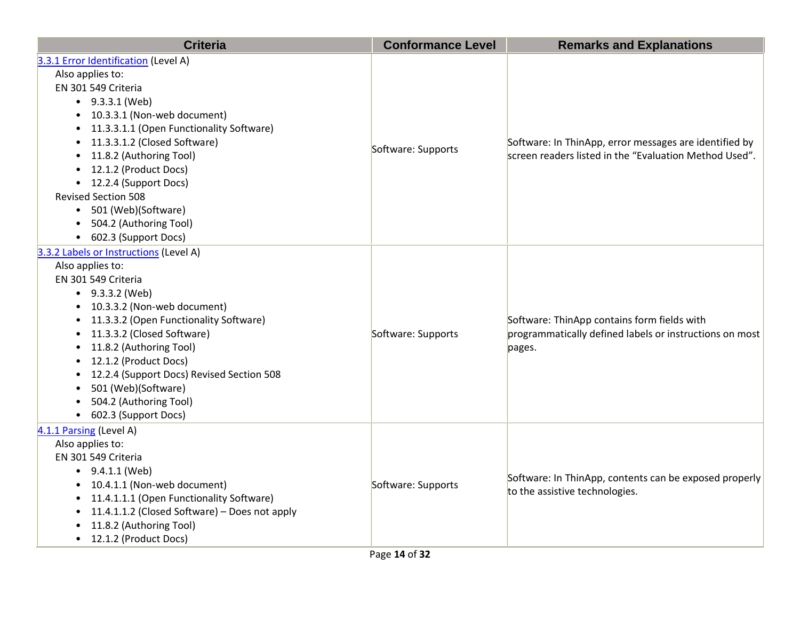| <b>Criteria</b>                                                                                                                                                                                                                                                                                                                                                                                                                            | <b>Conformance Level</b> | <b>Remarks and Explanations</b>                                                                                  |
|--------------------------------------------------------------------------------------------------------------------------------------------------------------------------------------------------------------------------------------------------------------------------------------------------------------------------------------------------------------------------------------------------------------------------------------------|--------------------------|------------------------------------------------------------------------------------------------------------------|
| 3.3.1 Error Identification (Level A)<br>Also applies to:<br>EN 301 549 Criteria<br>$-9.3.3.1$ (Web)<br>• 10.3.3.1 (Non-web document)<br>• 11.3.3.1.1 (Open Functionality Software)<br>11.3.3.1.2 (Closed Software)<br>$\bullet$<br>11.8.2 (Authoring Tool)<br>$\bullet$<br>• 12.1.2 (Product Docs)<br>• 12.2.4 (Support Docs)<br><b>Revised Section 508</b><br>• 501 (Web)(Software)<br>• 504.2 (Authoring Tool)<br>• 602.3 (Support Docs) | Software: Supports       | Software: In ThinApp, error messages are identified by<br>screen readers listed in the "Evaluation Method Used". |
| 3.3.2 Labels or Instructions (Level A)<br>Also applies to:<br>EN 301 549 Criteria<br>$-9.3.3.2$ (Web)<br>• 10.3.3.2 (Non-web document)<br>• 11.3.3.2 (Open Functionality Software)<br>• 11.3.3.2 (Closed Software)<br>• 11.8.2 (Authoring Tool)<br>• 12.1.2 (Product Docs)<br>• 12.2.4 (Support Docs) Revised Section 508<br>501 (Web)(Software)<br>504.2 (Authoring Tool)<br>• 602.3 (Support Docs)                                       | Software: Supports       | Software: ThinApp contains form fields with<br>programmatically defined labels or instructions on most<br>pages. |
| 4.1.1 Parsing (Level A)<br>Also applies to:<br>EN 301 549 Criteria<br>$\bullet$ 9.4.1.1 (Web)<br>• 10.4.1.1 (Non-web document)<br>• 11.4.1.1.1 (Open Functionality Software)<br>• 11.4.1.1.2 (Closed Software) - Does not apply<br>11.8.2 (Authoring Tool)<br>• 12.1.2 (Product Docs)                                                                                                                                                      | Software: Supports       | Software: In ThinApp, contents can be exposed properly<br>to the assistive technologies.                         |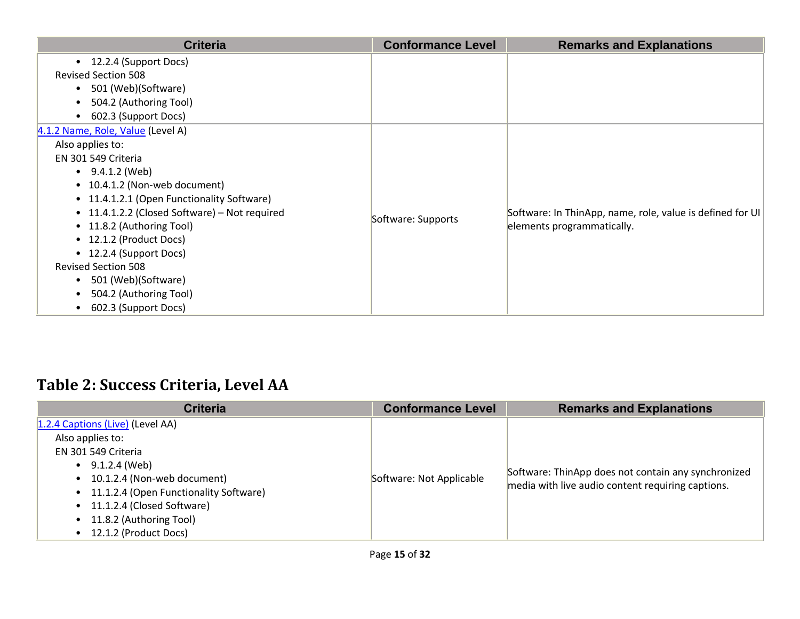| <b>Criteria</b>                               | <b>Conformance Level</b> | <b>Remarks and Explanations</b>                           |
|-----------------------------------------------|--------------------------|-----------------------------------------------------------|
| • 12.2.4 (Support Docs)                       |                          |                                                           |
| <b>Revised Section 508</b>                    |                          |                                                           |
| 501 (Web)(Software)<br>$\bullet$              |                          |                                                           |
| 504.2 (Authoring Tool)<br>$\bullet$           |                          |                                                           |
| 602.3 (Support Docs)<br>$\bullet$             |                          |                                                           |
| 4.1.2 Name, Role, Value (Level A)             |                          |                                                           |
| Also applies to:                              |                          |                                                           |
| EN 301 549 Criteria                           |                          |                                                           |
| $\bullet$ 9.4.1.2 (Web)                       |                          |                                                           |
| • 10.4.1.2 (Non-web document)                 |                          |                                                           |
| • 11.4.1.2.1 (Open Functionality Software)    |                          |                                                           |
| • 11.4.1.2.2 (Closed Software) – Not required | Software: Supports       | Software: In ThinApp, name, role, value is defined for UI |
| • 11.8.2 (Authoring Tool)                     |                          | elements programmatically.                                |
| • 12.1.2 (Product Docs)                       |                          |                                                           |
| • 12.2.4 (Support Docs)                       |                          |                                                           |
| <b>Revised Section 508</b>                    |                          |                                                           |
| 501 (Web)(Software)<br>$\bullet$              |                          |                                                           |
| 504.2 (Authoring Tool)<br>$\bullet$           |                          |                                                           |
| 602.3 (Support Docs)<br>٠                     |                          |                                                           |

#### **Table 2: Success Criteria, Level AA**

| <b>Criteria</b>                                                                                                                                                                                                                                                                        | <b>Conformance Level</b> | <b>Remarks and Explanations</b>                                                                          |
|----------------------------------------------------------------------------------------------------------------------------------------------------------------------------------------------------------------------------------------------------------------------------------------|--------------------------|----------------------------------------------------------------------------------------------------------|
| 1.2.4 Captions (Live) (Level AA)<br>Also applies to:<br>EN 301 549 Criteria<br>$\bullet$ 9.1.2.4 (Web)<br>• 10.1.2.4 (Non-web document)<br>• 11.1.2.4 (Open Functionality Software)<br>• 11.1.2.4 (Closed Software)<br>• 11.8.2 (Authoring Tool)<br>12.1.2 (Product Docs)<br>$\bullet$ | Software: Not Applicable | Software: ThinApp does not contain any synchronized<br>media with live audio content requiring captions. |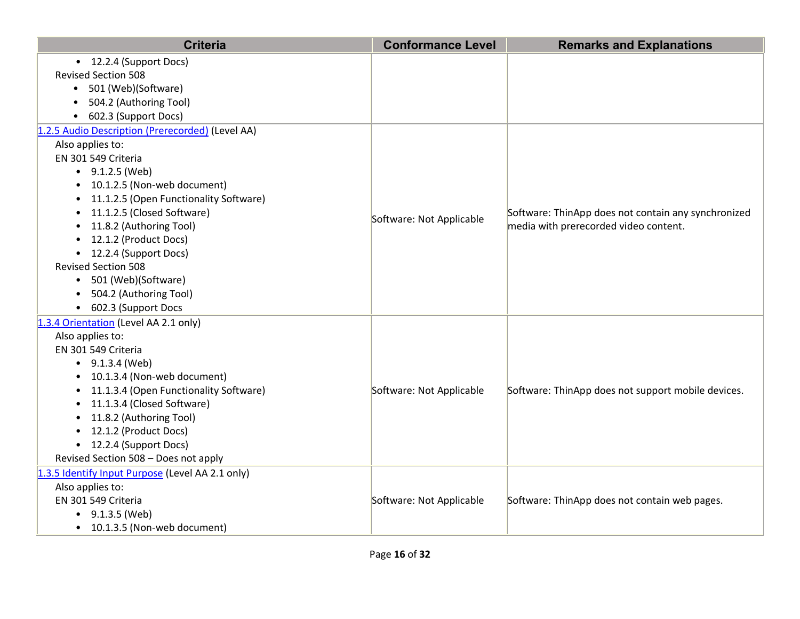| <b>Criteria</b>                                  | <b>Conformance Level</b> | <b>Remarks and Explanations</b>                     |
|--------------------------------------------------|--------------------------|-----------------------------------------------------|
| • 12.2.4 (Support Docs)                          |                          |                                                     |
| <b>Revised Section 508</b>                       |                          |                                                     |
| • 501 (Web)(Software)                            |                          |                                                     |
| 504.2 (Authoring Tool)                           |                          |                                                     |
| • 602.3 (Support Docs)                           |                          |                                                     |
| 1.2.5 Audio Description (Prerecorded) (Level AA) |                          |                                                     |
| Also applies to:                                 |                          |                                                     |
| EN 301 549 Criteria                              |                          |                                                     |
| $\bullet$ 9.1.2.5 (Web)                          |                          |                                                     |
| • 10.1.2.5 (Non-web document)                    |                          |                                                     |
| • 11.1.2.5 (Open Functionality Software)         |                          |                                                     |
| • 11.1.2.5 (Closed Software)                     | Software: Not Applicable | Software: ThinApp does not contain any synchronized |
| • 11.8.2 (Authoring Tool)                        |                          | media with prerecorded video content.               |
| • 12.1.2 (Product Docs)                          |                          |                                                     |
| • 12.2.4 (Support Docs)                          |                          |                                                     |
| <b>Revised Section 508</b>                       |                          |                                                     |
| • 501 (Web)(Software)                            |                          |                                                     |
| • 504.2 (Authoring Tool)                         |                          |                                                     |
| • 602.3 (Support Docs                            |                          |                                                     |
| 1.3.4 Orientation (Level AA 2.1 only)            |                          |                                                     |
| Also applies to:                                 |                          |                                                     |
| EN 301 549 Criteria                              |                          |                                                     |
| $\bullet$ 9.1.3.4 (Web)                          |                          |                                                     |
| • 10.1.3.4 (Non-web document)                    |                          |                                                     |
| • 11.1.3.4 (Open Functionality Software)         | Software: Not Applicable | Software: ThinApp does not support mobile devices.  |
| • 11.1.3.4 (Closed Software)                     |                          |                                                     |
| • 11.8.2 (Authoring Tool)                        |                          |                                                     |
| • 12.1.2 (Product Docs)                          |                          |                                                     |
| • 12.2.4 (Support Docs)                          |                          |                                                     |
| Revised Section 508 - Does not apply             |                          |                                                     |
| 1.3.5 Identify Input Purpose (Level AA 2.1 only) |                          |                                                     |
| Also applies to:                                 |                          |                                                     |
| EN 301 549 Criteria                              | Software: Not Applicable | Software: ThinApp does not contain web pages.       |
| $\bullet$ 9.1.3.5 (Web)                          |                          |                                                     |
| • 10.1.3.5 (Non-web document)                    |                          |                                                     |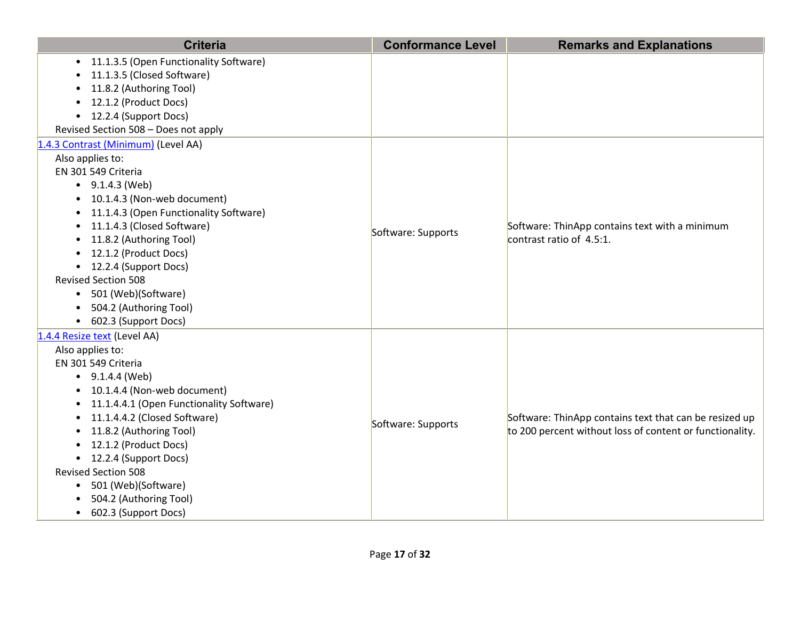| <b>Criteria</b>                                                                                                                                                                                                                                                                                                                                                                                                      | <b>Conformance Level</b> | <b>Remarks and Explanations</b>                                                                                    |
|----------------------------------------------------------------------------------------------------------------------------------------------------------------------------------------------------------------------------------------------------------------------------------------------------------------------------------------------------------------------------------------------------------------------|--------------------------|--------------------------------------------------------------------------------------------------------------------|
| • 11.1.3.5 (Open Functionality Software)<br>11.1.3.5 (Closed Software)<br>11.8.2 (Authoring Tool)<br>12.1.2 (Product Docs)<br>• 12.2.4 (Support Docs)<br>Revised Section 508 - Does not apply                                                                                                                                                                                                                        |                          |                                                                                                                    |
| 1.4.3 Contrast (Minimum) (Level AA)<br>Also applies to:<br>EN 301 549 Criteria                                                                                                                                                                                                                                                                                                                                       |                          |                                                                                                                    |
| $\bullet$ 9.1.4.3 (Web)<br>• 10.1.4.3 (Non-web document)<br>11.1.4.3 (Open Functionality Software)<br>11.1.4.3 (Closed Software)<br>11.8.2 (Authoring Tool)<br>$\bullet$<br>• 12.1.2 (Product Docs)<br>• 12.2.4 (Support Docs)<br><b>Revised Section 508</b><br>501 (Web)(Software)<br>504.2 (Authoring Tool)<br>602.3 (Support Docs)<br>$\bullet$                                                                   | Software: Supports       | Software: ThinApp contains text with a minimum<br>contrast ratio of $4.5:1$ .                                      |
| 1.4.4 Resize text (Level AA)<br>Also applies to:<br>EN 301 549 Criteria<br>$\bullet$ 9.1.4.4 (Web)<br>• 10.1.4.4 (Non-web document)<br>11.1.4.4.1 (Open Functionality Software)<br>11.1.4.4.2 (Closed Software)<br>11.8.2 (Authoring Tool)<br>12.1.2 (Product Docs)<br>• 12.2.4 (Support Docs)<br><b>Revised Section 508</b><br>501 (Web)(Software)<br>$\bullet$<br>504.2 (Authoring Tool)<br>• 602.3 (Support Docs) | Software: Supports       | Software: ThinApp contains text that can be resized up<br>to 200 percent without loss of content or functionality. |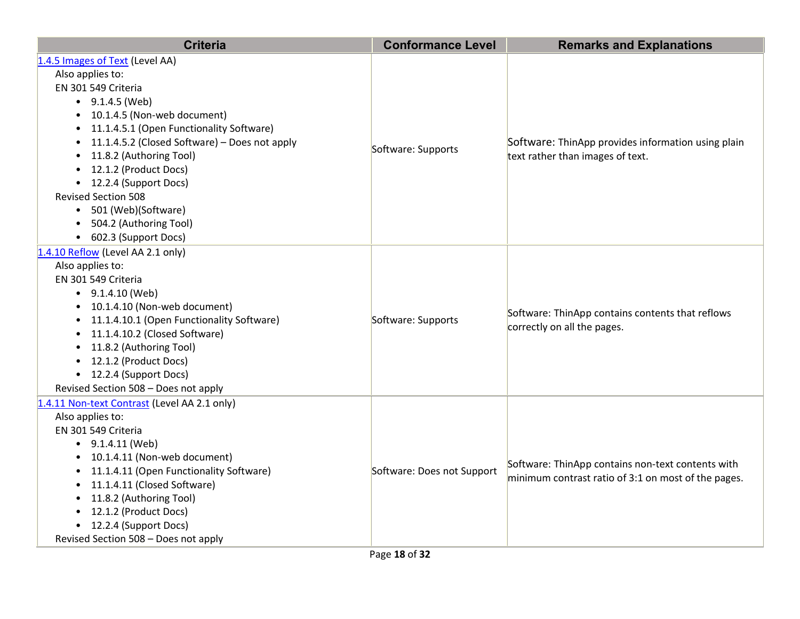| <b>Criteria</b>                                 | <b>Conformance Level</b>   | <b>Remarks and Explanations</b>                                                        |
|-------------------------------------------------|----------------------------|----------------------------------------------------------------------------------------|
| 1.4.5 Images of Text (Level AA)                 |                            |                                                                                        |
| Also applies to:                                |                            |                                                                                        |
| EN 301 549 Criteria                             |                            |                                                                                        |
| $\bullet$ 9.1.4.5 (Web)                         |                            |                                                                                        |
| • 10.1.4.5 (Non-web document)                   |                            |                                                                                        |
| • 11.1.4.5.1 (Open Functionality Software)      |                            |                                                                                        |
| • 11.1.4.5.2 (Closed Software) - Does not apply | Software: Supports         | Software: ThinApp provides information using plain<br>text rather than images of text. |
| • 11.8.2 (Authoring Tool)                       |                            |                                                                                        |
| • 12.1.2 (Product Docs)                         |                            |                                                                                        |
| • 12.2.4 (Support Docs)                         |                            |                                                                                        |
| <b>Revised Section 508</b>                      |                            |                                                                                        |
| • 501 (Web)(Software)                           |                            |                                                                                        |
| • 504.2 (Authoring Tool)                        |                            |                                                                                        |
| • 602.3 (Support Docs)                          |                            |                                                                                        |
| 1.4.10 Reflow (Level AA 2.1 only)               |                            |                                                                                        |
| Also applies to:                                |                            |                                                                                        |
| EN 301 549 Criteria                             |                            |                                                                                        |
| $\bullet$ 9.1.4.10 (Web)                        |                            | Software: ThinApp contains contents that reflows<br>correctly on all the pages.        |
| • 10.1.4.10 (Non-web document)                  |                            |                                                                                        |
| • 11.1.4.10.1 (Open Functionality Software)     | Software: Supports         |                                                                                        |
| • 11.1.4.10.2 (Closed Software)                 |                            |                                                                                        |
| • 11.8.2 (Authoring Tool)                       |                            |                                                                                        |
| • 12.1.2 (Product Docs)                         |                            |                                                                                        |
| • 12.2.4 (Support Docs)                         |                            |                                                                                        |
| Revised Section 508 - Does not apply            |                            |                                                                                        |
| 1.4.11 Non-text Contrast (Level AA 2.1 only)    |                            |                                                                                        |
| Also applies to:                                |                            |                                                                                        |
| EN 301 549 Criteria                             |                            |                                                                                        |
| $\bullet$ 9.1.4.11 (Web)                        |                            |                                                                                        |
| • 10.1.4.11 (Non-web document)                  |                            | Software: ThinApp contains non-text contents with                                      |
| • 11.1.4.11 (Open Functionality Software)       | Software: Does not Support | minimum contrast ratio of 3:1 on most of the pages.                                    |
| • 11.1.4.11 (Closed Software)                   |                            |                                                                                        |
| • 11.8.2 (Authoring Tool)                       |                            |                                                                                        |
| • 12.1.2 (Product Docs)                         |                            |                                                                                        |
| • 12.2.4 (Support Docs)                         |                            |                                                                                        |
| Revised Section 508 - Does not apply            |                            |                                                                                        |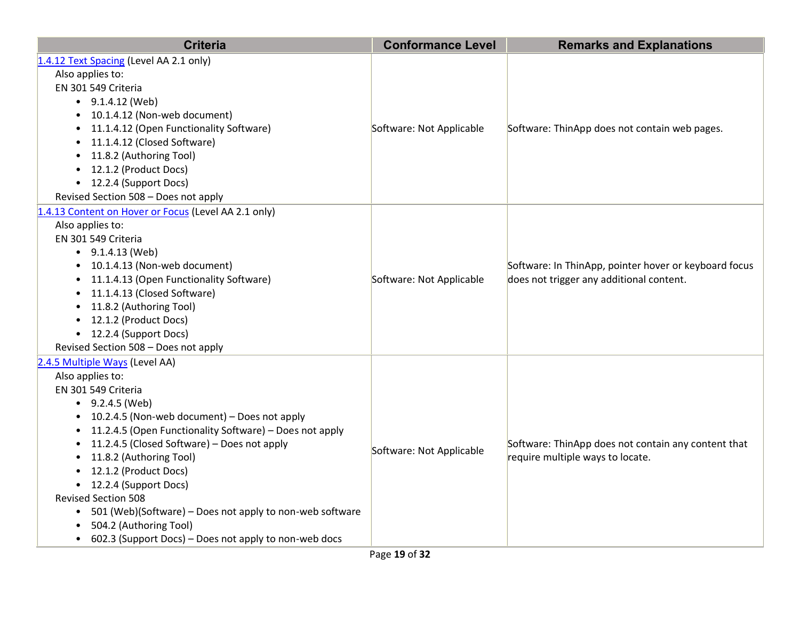| <b>Criteria</b>                                                                                                                                                                                                                                                                                                                                                                                                                                                                                                                                                                               | <b>Conformance Level</b> | <b>Remarks and Explanations</b>                                                                   |
|-----------------------------------------------------------------------------------------------------------------------------------------------------------------------------------------------------------------------------------------------------------------------------------------------------------------------------------------------------------------------------------------------------------------------------------------------------------------------------------------------------------------------------------------------------------------------------------------------|--------------------------|---------------------------------------------------------------------------------------------------|
| 1.4.12 Text Spacing (Level AA 2.1 only)<br>Also applies to:<br>EN 301 549 Criteria<br>$\bullet$ 9.1.4.12 (Web)<br>10.1.4.12 (Non-web document)<br>$\bullet$<br>11.1.4.12 (Open Functionality Software)<br>$\bullet$<br>11.1.4.12 (Closed Software)<br>$\bullet$<br>11.8.2 (Authoring Tool)<br>$\bullet$<br>12.1.2 (Product Docs)<br>$\bullet$<br>• 12.2.4 (Support Docs)<br>Revised Section 508 - Does not apply                                                                                                                                                                              | Software: Not Applicable | Software: ThinApp does not contain web pages.                                                     |
| 1.4.13 Content on Hover or Focus (Level AA 2.1 only)<br>Also applies to:<br>EN 301 549 Criteria<br>$\bullet$ 9.1.4.13 (Web)<br>10.1.4.13 (Non-web document)<br>$\bullet$<br>11.1.4.13 (Open Functionality Software)<br>$\bullet$<br>11.1.4.13 (Closed Software)<br>$\bullet$<br>11.8.2 (Authoring Tool)<br>$\bullet$<br>12.1.2 (Product Docs)<br>$\bullet$<br>• 12.2.4 (Support Docs)<br>Revised Section 508 - Does not apply                                                                                                                                                                 | Software: Not Applicable | Software: In ThinApp, pointer hover or keyboard focus<br>does not trigger any additional content. |
| 2.4.5 Multiple Ways (Level AA)<br>Also applies to:<br>EN 301 549 Criteria<br>$\bullet$ 9.2.4.5 (Web)<br>• 10.2.4.5 (Non-web document) - Does not apply<br>11.2.4.5 (Open Functionality Software) - Does not apply<br>11.2.4.5 (Closed Software) - Does not apply<br>$\bullet$<br>11.8.2 (Authoring Tool)<br>$\bullet$<br>12.1.2 (Product Docs)<br>• 12.2.4 (Support Docs)<br><b>Revised Section 508</b><br>501 (Web)(Software) - Does not apply to non-web software<br>$\bullet$<br>504.2 (Authoring Tool)<br>$\bullet$<br>602.3 (Support Docs) - Does not apply to non-web docs<br>$\bullet$ | Software: Not Applicable | Software: ThinApp does not contain any content that<br>require multiple ways to locate.           |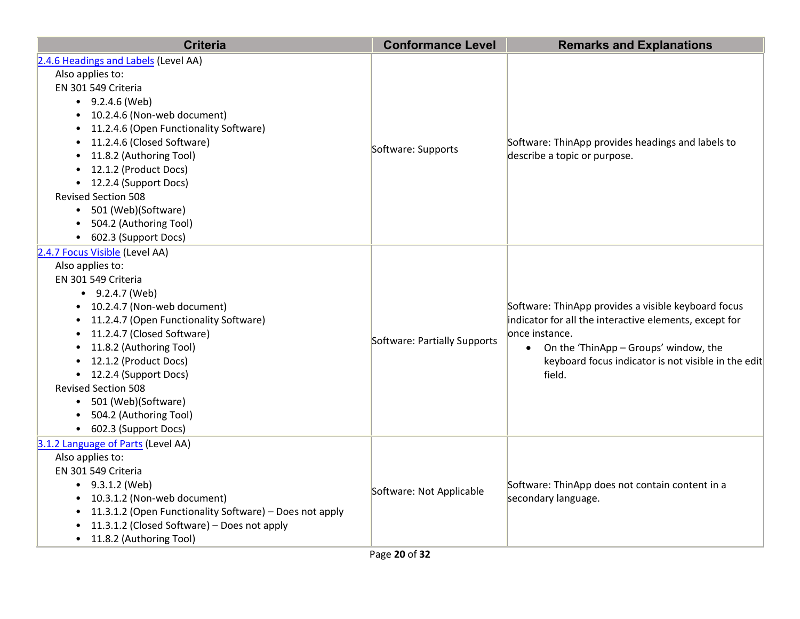| <b>Criteria</b>                                                                                                                                                                                                                                                                                                                                                                                        | <b>Conformance Level</b>     | <b>Remarks and Explanations</b>                                                                                                                                                                                                              |
|--------------------------------------------------------------------------------------------------------------------------------------------------------------------------------------------------------------------------------------------------------------------------------------------------------------------------------------------------------------------------------------------------------|------------------------------|----------------------------------------------------------------------------------------------------------------------------------------------------------------------------------------------------------------------------------------------|
| 2.4.6 Headings and Labels (Level AA)<br>Also applies to:<br>EN 301 549 Criteria<br>$-9.2.4.6$ (Web)<br>• 10.2.4.6 (Non-web document)<br>11.2.4.6 (Open Functionality Software)<br>11.2.4.6 (Closed Software)<br>11.8.2 (Authoring Tool)<br>• 12.1.2 (Product Docs)<br>• 12.2.4 (Support Docs)<br><b>Revised Section 508</b><br>• 501 (Web)(Software)<br>504.2 (Authoring Tool)<br>602.3 (Support Docs) | Software: Supports           | Software: ThinApp provides headings and labels to<br>describe a topic or purpose.                                                                                                                                                            |
| 2.4.7 Focus Visible (Level AA)<br>Also applies to:<br>EN 301 549 Criteria<br>$-9.2.4.7$ (Web)<br>• 10.2.4.7 (Non-web document)<br>11.2.4.7 (Open Functionality Software)<br>11.2.4.7 (Closed Software)<br>11.8.2 (Authoring Tool)<br>• 12.1.2 (Product Docs)<br>• 12.2.4 (Support Docs)<br><b>Revised Section 508</b><br>• 501 (Web)(Software)<br>504.2 (Authoring Tool)<br>• 602.3 (Support Docs)     | Software: Partially Supports | Software: ThinApp provides a visible keyboard focus<br>indicator for all the interactive elements, except for<br>lonce instance.<br>• On the 'ThinApp - Groups' window, the<br>keyboard focus indicator is not visible in the edit<br>field. |
| 3.1.2 Language of Parts (Level AA)<br>Also applies to:<br>EN 301 549 Criteria<br>$-9.3.1.2$ (Web)<br>• 10.3.1.2 (Non-web document)<br>11.3.1.2 (Open Functionality Software) - Does not apply<br>11.3.1.2 (Closed Software) - Does not apply<br>• 11.8.2 (Authoring Tool)                                                                                                                              | Software: Not Applicable     | Software: ThinApp does not contain content in a<br>secondary language.                                                                                                                                                                       |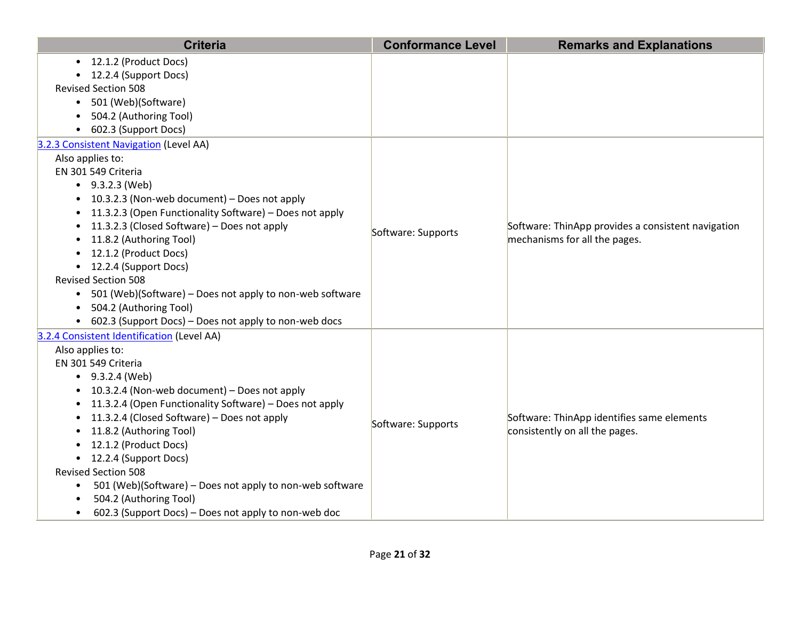| <b>Criteria</b>                                                       | <b>Conformance Level</b> | <b>Remarks and Explanations</b>                    |
|-----------------------------------------------------------------------|--------------------------|----------------------------------------------------|
| • 12.1.2 (Product Docs)                                               |                          |                                                    |
| • 12.2.4 (Support Docs)                                               |                          |                                                    |
| <b>Revised Section 508</b>                                            |                          |                                                    |
| • 501 (Web)(Software)                                                 |                          |                                                    |
| 504.2 (Authoring Tool)                                                |                          |                                                    |
| 602.3 (Support Docs)<br>$\bullet$                                     |                          |                                                    |
| 3.2.3 Consistent Navigation (Level AA)                                |                          |                                                    |
| Also applies to:<br>EN 301 549 Criteria                               |                          |                                                    |
| $\bullet$ 9.3.2.3 (Web)                                               |                          |                                                    |
| • 10.3.2.3 (Non-web document) - Does not apply                        |                          |                                                    |
| 11.3.2.3 (Open Functionality Software) - Does not apply<br>$\bullet$  |                          |                                                    |
| 11.3.2.3 (Closed Software) - Does not apply<br>$\bullet$              |                          | Software: ThinApp provides a consistent navigation |
| 11.8.2 (Authoring Tool)                                               | Software: Supports       | mechanisms for all the pages.                      |
| • 12.1.2 (Product Docs)                                               |                          |                                                    |
| • 12.2.4 (Support Docs)                                               |                          |                                                    |
| <b>Revised Section 508</b>                                            |                          |                                                    |
| • 501 (Web)(Software) - Does not apply to non-web software            |                          |                                                    |
| • 504.2 (Authoring Tool)                                              |                          |                                                    |
| • 602.3 (Support Docs) – Does not apply to non-web docs               |                          |                                                    |
| 3.2.4 Consistent Identification (Level AA)                            |                          |                                                    |
| Also applies to:                                                      |                          |                                                    |
| EN 301 549 Criteria                                                   |                          |                                                    |
| $-9.3.2.4$ (Web)                                                      |                          |                                                    |
| • 10.3.2.4 (Non-web document) - Does not apply                        |                          |                                                    |
| • 11.3.2.4 (Open Functionality Software) - Does not apply             |                          |                                                    |
| 11.3.2.4 (Closed Software) - Does not apply<br>$\bullet$              | Software: Supports       | Software: ThinApp identifies same elements         |
| 11.8.2 (Authoring Tool)<br>$\bullet$                                  |                          | consistently on all the pages.                     |
| 12.1.2 (Product Docs)                                                 |                          |                                                    |
| • 12.2.4 (Support Docs)                                               |                          |                                                    |
| <b>Revised Section 508</b>                                            |                          |                                                    |
| 501 (Web)(Software) - Does not apply to non-web software<br>$\bullet$ |                          |                                                    |
| 504.2 (Authoring Tool)                                                |                          |                                                    |
| 602.3 (Support Docs) – Does not apply to non-web doc<br>$\bullet$     |                          |                                                    |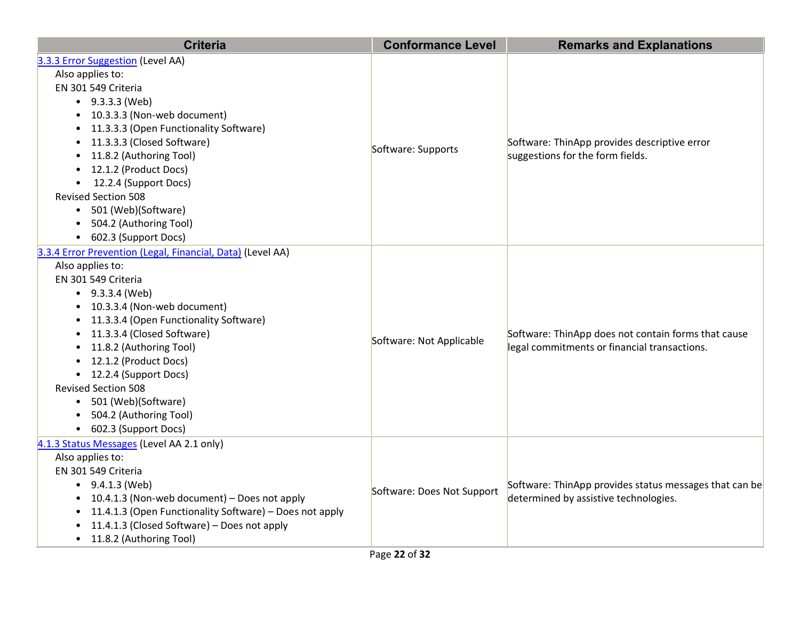| <b>Criteria</b>                                                                                                                                                                                                                                                                                                                                                                                                                      | <b>Conformance Level</b>   | <b>Remarks and Explanations</b>                                                                     |
|--------------------------------------------------------------------------------------------------------------------------------------------------------------------------------------------------------------------------------------------------------------------------------------------------------------------------------------------------------------------------------------------------------------------------------------|----------------------------|-----------------------------------------------------------------------------------------------------|
| 3.3.3 Error Suggestion (Level AA)<br>Also applies to:<br>EN 301 549 Criteria<br>$-9.3.3.3$ (Web)<br>• 10.3.3.3 (Non-web document)<br>• 11.3.3.3 (Open Functionality Software)<br>• 11.3.3.3 (Closed Software)<br>11.8.2 (Authoring Tool)<br>$\bullet$<br>• 12.1.2 (Product Docs)<br>• 12.2.4 (Support Docs)<br><b>Revised Section 508</b><br>• 501 (Web)(Software)<br>504.2 (Authoring Tool)<br>• 602.3 (Support Docs)               | Software: Supports         | Software: ThinApp provides descriptive error<br>suggestions for the form fields.                    |
| 3.3.4 Error Prevention (Legal, Financial, Data) (Level AA)<br>Also applies to:<br>EN 301 549 Criteria<br>$-9.3.3.4$ (Web)<br>• 10.3.3.4 (Non-web document)<br>• 11.3.3.4 (Open Functionality Software)<br>• 11.3.3.4 (Closed Software)<br>• 11.8.2 (Authoring Tool)<br>• 12.1.2 (Product Docs)<br>• 12.2.4 (Support Docs)<br><b>Revised Section 508</b><br>• 501 (Web)(Software)<br>504.2 (Authoring Tool)<br>• 602.3 (Support Docs) | Software: Not Applicable   | Software: ThinApp does not contain forms that cause<br>legal commitments or financial transactions. |
| 4.1.3 Status Messages (Level AA 2.1 only)<br>Also applies to:<br>EN 301 549 Criteria<br>$\bullet$ 9.4.1.3 (Web)<br>• 10.4.1.3 (Non-web document) - Does not apply<br>11.4.1.3 (Open Functionality Software) - Does not apply<br>11.4.1.3 (Closed Software) - Does not apply<br>• 11.8.2 (Authoring Tool)                                                                                                                             | Software: Does Not Support | Software: ThinApp provides status messages that can be<br>determined by assistive technologies.     |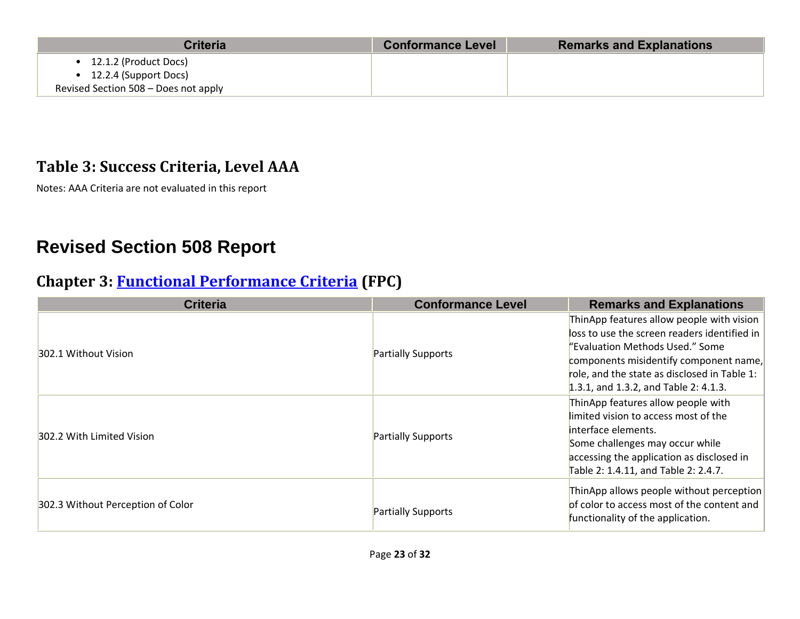| Criteria                                                                                         | <b>Conformance Level</b> | <b>Remarks and Explanations</b> |
|--------------------------------------------------------------------------------------------------|--------------------------|---------------------------------|
| 12.1.2 (Product Docs)<br>$\bullet$ 12.2.4 (Support Docs)<br>Revised Section 508 - Does not apply |                          |                                 |

#### **Table 3: Success Criteria, Level AAA**

Notes: AAA Criteria are not evaluated in this report

## **Revised Section 508 Report**

#### **Chapter 3: [Functional Performance Criteria](https://www.access-board.gov/guidelines-and-standards/communications-and-it/about-the-ict-refresh/final-rule/text-of-the-standards-and-guidelines#302-functional-performance-criteria) (FPC)**

| <b>Criteria</b>                   | <b>Conformance Level</b> | <b>Remarks and Explanations</b>              |
|-----------------------------------|--------------------------|----------------------------------------------|
|                                   |                          | ThinApp features allow people with vision    |
|                                   |                          | loss to use the screen readers identified in |
| 302.1 Without Vision              | Partially Supports       | "Evaluation Methods Used." Some              |
|                                   |                          | components misidentify component name,       |
|                                   |                          | role, and the state as disclosed in Table 1: |
|                                   |                          | 1.3.1, and 1.3.2, and Table 2: 4.1.3.        |
|                                   |                          | ThinApp features allow people with           |
|                                   | Partially Supports       | limited vision to access most of the         |
| 302.2 With Limited Vision         |                          | interface elements.                          |
|                                   |                          | Some challenges may occur while              |
|                                   |                          | accessing the application as disclosed in    |
|                                   |                          | Table 2: 1.4.11, and Table 2: 2.4.7.         |
| 302.3 Without Perception of Color |                          | ThinApp allows people without perception     |
|                                   |                          | of color to access most of the content and   |
|                                   | Partially Supports       | functionality of the application.            |
|                                   |                          |                                              |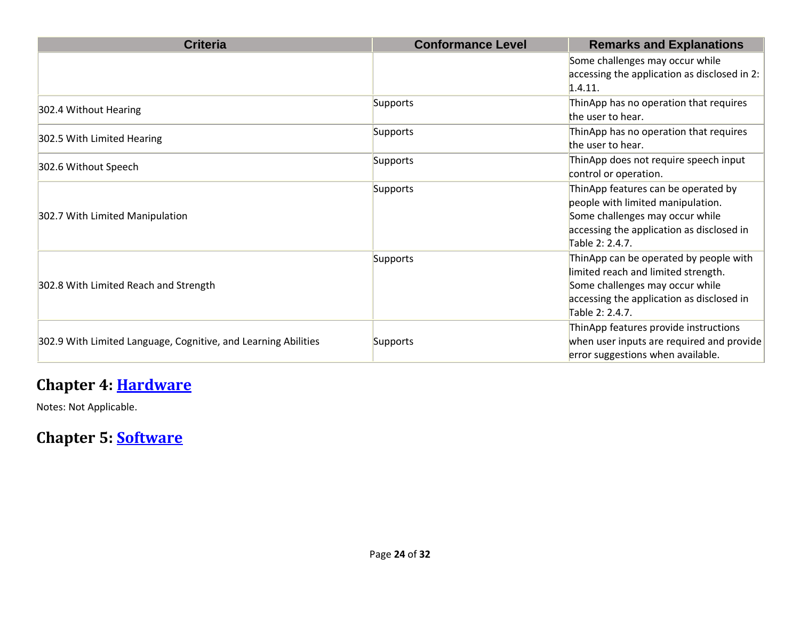| <b>Criteria</b>                                                | <b>Conformance Level</b> | <b>Remarks and Explanations</b>                                                                                                                                                  |
|----------------------------------------------------------------|--------------------------|----------------------------------------------------------------------------------------------------------------------------------------------------------------------------------|
|                                                                |                          | Some challenges may occur while<br>accessing the application as disclosed in 2:<br>1.4.11.                                                                                       |
| 302.4 Without Hearing                                          | Supports                 | ThinApp has no operation that requires<br>the user to hear.                                                                                                                      |
| 302.5 With Limited Hearing                                     | Supports                 | ThinApp has no operation that requires<br>the user to hear.                                                                                                                      |
| 302.6 Without Speech                                           | Supports                 | ThinApp does not require speech input<br>control or operation.                                                                                                                   |
| 302.7 With Limited Manipulation                                | Supports                 | ThinApp features can be operated by<br>people with limited manipulation.<br>Some challenges may occur while<br>accessing the application as disclosed in<br>Table 2: 2.4.7.      |
| 302.8 With Limited Reach and Strength                          | Supports                 | ThinApp can be operated by people with<br>limited reach and limited strength.<br>Some challenges may occur while<br>accessing the application as disclosed in<br>Table 2: 2.4.7. |
| 302.9 With Limited Language, Cognitive, and Learning Abilities | Supports                 | ThinApp features provide instructions<br>when user inputs are required and provide<br>error suggestions when available.                                                          |

#### **Chapter 4: [Hardware](https://www.access-board.gov/guidelines-and-standards/communications-and-it/about-the-ict-refresh/final-rule/text-of-the-standards-and-guidelines#401-general)**

Notes: Not Applicable.

**Chapter 5: [Software](https://www.access-board.gov/guidelines-and-standards/communications-and-it/about-the-ict-refresh/final-rule/text-of-the-standards-and-guidelines#501-general)**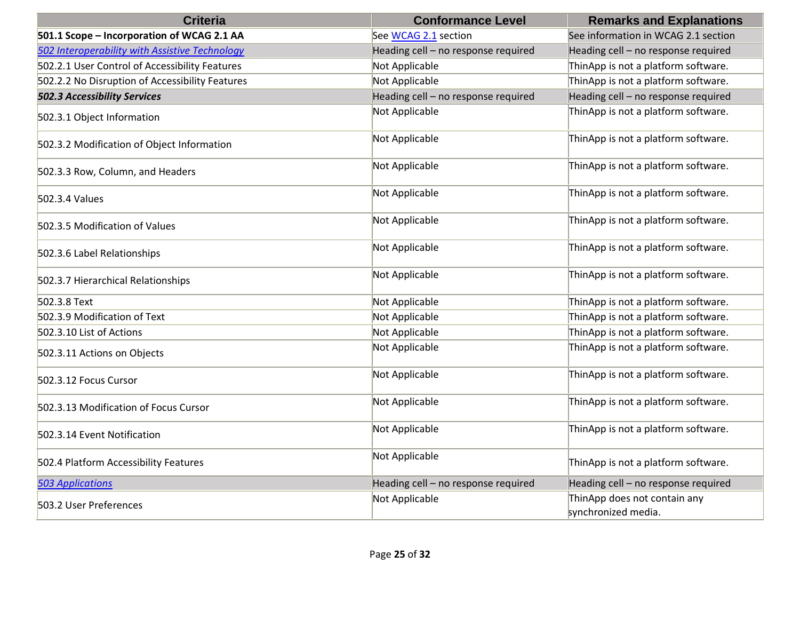| <b>Criteria</b>                                 | <b>Conformance Level</b>            | <b>Remarks and Explanations</b>                     |
|-------------------------------------------------|-------------------------------------|-----------------------------------------------------|
| 501.1 Scope - Incorporation of WCAG 2.1 AA      | See WCAG 2.1 section                | See information in WCAG 2.1 section                 |
| 502 Interoperability with Assistive Technology  | Heading cell - no response required | Heading cell - no response required                 |
| 502.2.1 User Control of Accessibility Features  | Not Applicable                      | ThinApp is not a platform software.                 |
| 502.2.2 No Disruption of Accessibility Features | Not Applicable                      | ThinApp is not a platform software.                 |
| <b>502.3 Accessibility Services</b>             | Heading cell - no response required | Heading cell - no response required                 |
| 502.3.1 Object Information                      | Not Applicable                      | ThinApp is not a platform software.                 |
| 502.3.2 Modification of Object Information      | Not Applicable                      | ThinApp is not a platform software.                 |
| 502.3.3 Row, Column, and Headers                | Not Applicable                      | ThinApp is not a platform software.                 |
| 502.3.4 Values                                  | Not Applicable                      | ThinApp is not a platform software.                 |
| 502.3.5 Modification of Values                  | Not Applicable                      | ThinApp is not a platform software.                 |
| 502.3.6 Label Relationships                     | Not Applicable                      | ThinApp is not a platform software.                 |
| 502.3.7 Hierarchical Relationships              | Not Applicable                      | ThinApp is not a platform software.                 |
| 502.3.8 Text                                    | Not Applicable                      | ThinApp is not a platform software.                 |
| 502.3.9 Modification of Text                    | Not Applicable                      | ThinApp is not a platform software.                 |
| 502.3.10 List of Actions                        | Not Applicable                      | ThinApp is not a platform software.                 |
| 502.3.11 Actions on Objects                     | Not Applicable                      | ThinApp is not a platform software.                 |
| 502.3.12 Focus Cursor                           | Not Applicable                      | ThinApp is not a platform software.                 |
| 502.3.13 Modification of Focus Cursor           | Not Applicable                      | ThinApp is not a platform software.                 |
| 502.3.14 Event Notification                     | Not Applicable                      | ThinApp is not a platform software.                 |
| 502.4 Platform Accessibility Features           | Not Applicable                      | ThinApp is not a platform software.                 |
| <b>503 Applications</b>                         | Heading cell - no response required | Heading cell - no response required                 |
| 503.2 User Preferences                          | Not Applicable                      | ThinApp does not contain any<br>synchronized media. |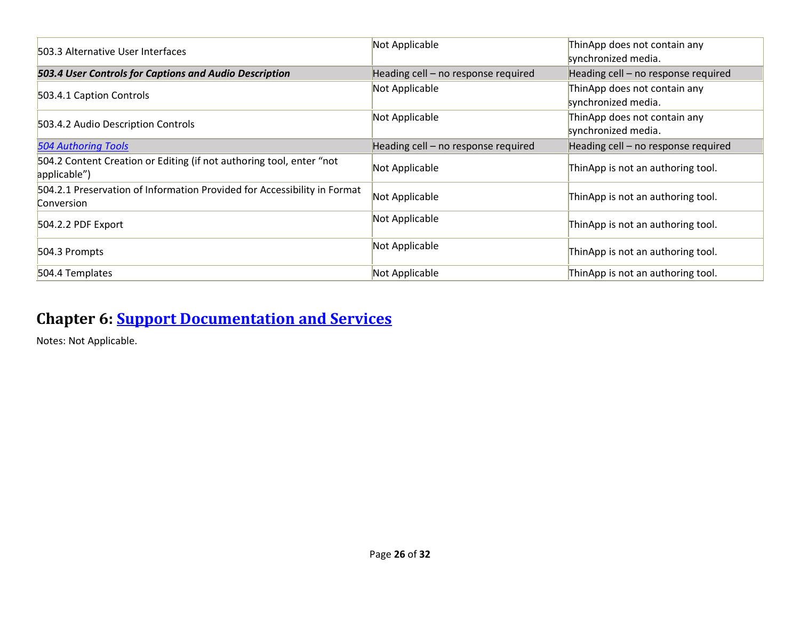| 503.3 Alternative User Interfaces                                                             | Not Applicable                      | ThinApp does not contain any<br>synchronized media. |
|-----------------------------------------------------------------------------------------------|-------------------------------------|-----------------------------------------------------|
| 503.4 User Controls for Captions and Audio Description                                        | Heading cell - no response required | Heading cell - no response required                 |
| 503.4.1 Caption Controls                                                                      | Not Applicable                      | ThinApp does not contain any<br>synchronized media. |
| 503.4.2 Audio Description Controls                                                            | Not Applicable                      | ThinApp does not contain any<br>synchronized media. |
| <b>504 Authoring Tools</b>                                                                    | Heading cell - no response required | Heading cell - no response required                 |
| 504.2 Content Creation or Editing (if not authoring tool, enter "not<br>applicable")          | Not Applicable                      | ThinApp is not an authoring tool.                   |
| 504.2.1 Preservation of Information Provided for Accessibility in Format<br><b>Conversion</b> | Not Applicable                      | ThinApp is not an authoring tool.                   |
| 504.2.2 PDF Export                                                                            | Not Applicable                      | ThinApp is not an authoring tool.                   |
| 504.3 Prompts                                                                                 | Not Applicable                      | ThinApp is not an authoring tool.                   |
| 504.4 Templates                                                                               | Not Applicable                      | ThinApp is not an authoring tool.                   |

#### **Chapter 6: [Support Documentation and Services](https://www.access-board.gov/guidelines-and-standards/communications-and-it/about-the-ict-refresh/final-rule/text-of-the-standards-and-guidelines#601-general)**

Notes: Not Applicable.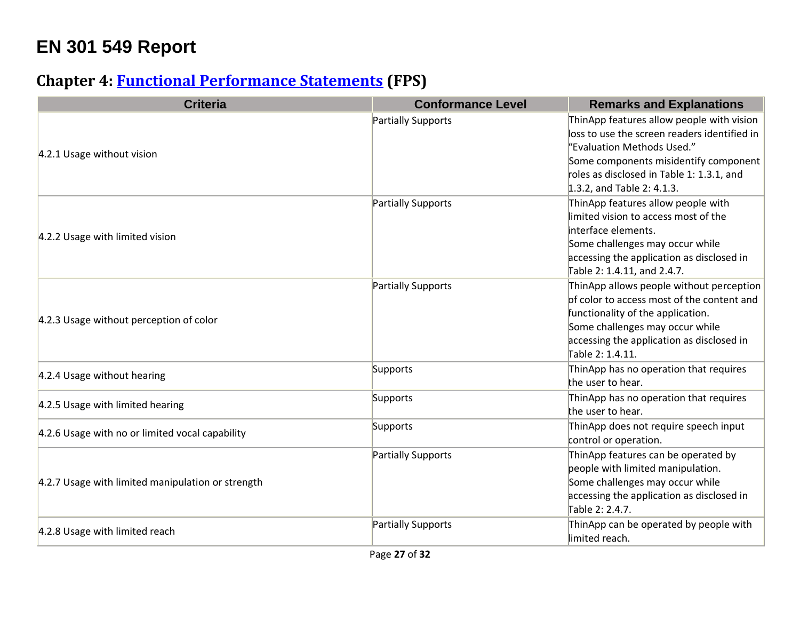## **EN 301 549 Report**

#### **Chapter 4: [Functional Performance Statements](https://www.etsi.org/deliver/etsi_en/301500_301599/301549/03.01.01_60/en_301549v030101p.pdf#%5B%7B%22num%22%3A38%2C%22gen%22%3A0%7D%2C%7B%22name%22%3A%22XYZ%22%7D%2C54%2C747%2C0%5D) (FPS)**

| <b>Criteria</b>                                   | <b>Conformance Level</b> | <b>Remarks and Explanations</b>                                                                                                                                                                                                             |
|---------------------------------------------------|--------------------------|---------------------------------------------------------------------------------------------------------------------------------------------------------------------------------------------------------------------------------------------|
| 4.2.1 Usage without vision                        | Partially Supports       | ThinApp features allow people with vision<br>loss to use the screen readers identified in<br>"Evaluation Methods Used."<br>Some components misidentify component<br>roles as disclosed in Table 1: 1.3.1, and<br>1.3.2, and Table 2: 4.1.3. |
| 4.2.2 Usage with limited vision                   | Partially Supports       | ThinApp features allow people with<br>limited vision to access most of the<br>interface elements.<br>Some challenges may occur while<br>accessing the application as disclosed in<br>Table 2: 1.4.11, and 2.4.7.                            |
| 4.2.3 Usage without perception of color           | Partially Supports       | ThinApp allows people without perception<br>of color to access most of the content and<br>functionality of the application.<br>Some challenges may occur while<br>accessing the application as disclosed in<br>Table 2: 1.4.11.             |
| 4.2.4 Usage without hearing                       | Supports                 | ThinApp has no operation that requires<br>the user to hear.                                                                                                                                                                                 |
| 4.2.5 Usage with limited hearing                  | Supports                 | ThinApp has no operation that requires<br>the user to hear.                                                                                                                                                                                 |
| 4.2.6 Usage with no or limited vocal capability   | Supports                 | ThinApp does not require speech input<br>control or operation.                                                                                                                                                                              |
| 4.2.7 Usage with limited manipulation or strength | Partially Supports       | ThinApp features can be operated by<br>people with limited manipulation.<br>Some challenges may occur while<br>accessing the application as disclosed in<br>Table 2: 2.4.7.                                                                 |
| 4.2.8 Usage with limited reach                    | Partially Supports       | ThinApp can be operated by people with<br>limited reach.                                                                                                                                                                                    |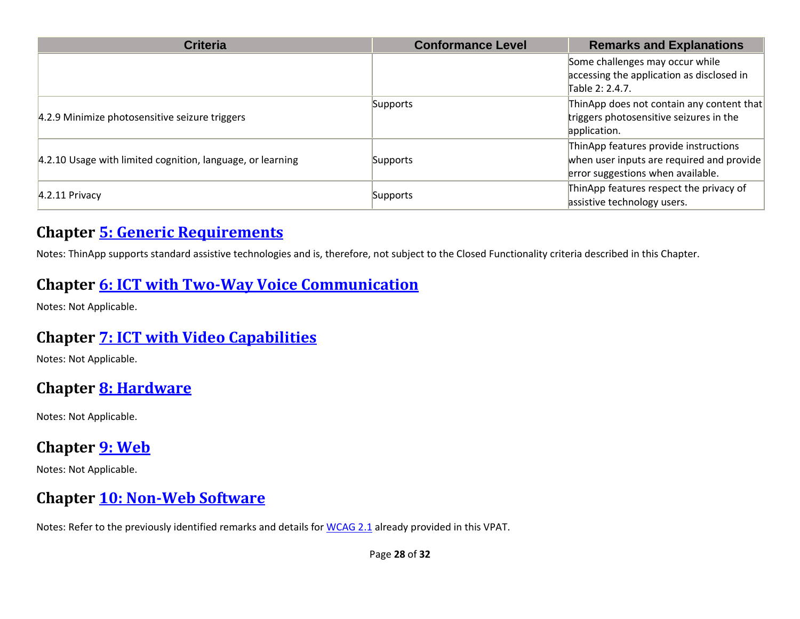| <b>Criteria</b>                                            | <b>Conformance Level</b> | <b>Remarks and Explanations</b>                                                                                         |
|------------------------------------------------------------|--------------------------|-------------------------------------------------------------------------------------------------------------------------|
|                                                            |                          | Some challenges may occur while<br>accessing the application as disclosed in<br>Table 2: 2.4.7.                         |
| 4.2.9 Minimize photosensitive seizure triggers             | Supports                 | ThinApp does not contain any content that<br>triggers photosensitive seizures in the<br>application.                    |
| 4.2.10 Usage with limited cognition, language, or learning | Supports                 | ThinApp features provide instructions<br>when user inputs are required and provide<br>error suggestions when available. |
| $4.2.11$ Privacy                                           | Supports                 | ThinApp features respect the privacy of<br>assistive technology users.                                                  |

#### **Chapter [5: Generic Requirements](https://www.etsi.org/deliver/etsi_en/301500_301599/301549/03.01.01_60/en_301549v030101p.pdf#%5B%7B%22num%22%3A45%2C%22gen%22%3A0%7D%2C%7B%22name%22%3A%22XYZ%22%7D%2C54%2C747%2C0%5D)**

Notes: ThinApp supports standard assistive technologies and is, therefore, not subject to the Closed Functionality criteria described in this Chapter.

#### **Chapter [6: ICT with Two-Way Voice Communication](https://www.etsi.org/deliver/etsi_en/301500_301599/301549/03.01.01_60/en_301549v030101p.pdf#%5B%7B%22num%22%3A60%2C%22gen%22%3A0%7D%2C%7B%22name%22%3A%22XYZ%22%7D%2C54%2C747%2C0%5D)**

Notes: Not Applicable.

#### **Chapter [7: ICT with Video Capabilities](https://www.etsi.org/deliver/etsi_en/301500_301599/301549/03.01.01_60/en_301549v030101p.pdf#%5B%7B%22num%22%3A70%2C%22gen%22%3A0%7D%2C%7B%22name%22%3A%22XYZ%22%7D%2C54%2C747%2C0%5D)**

Notes: Not Applicable.

#### **Chapter [8: Hardware](https://www.etsi.org/deliver/etsi_en/301500_301599/301549/03.01.01_60/en_301549v030101p.pdf#%5B%7B%22num%22%3A74%2C%22gen%22%3A0%7D%2C%7B%22name%22%3A%22XYZ%22%7D%2C54%2C747%2C0%5D)**

Notes: Not Applicable.

#### **Chapter [9: Web](https://www.etsi.org/deliver/etsi_en/301500_301599/301549/03.01.01_60/en_301549v030101p.pdf#%5B%7B%22num%22%3A113%2C%22gen%22%3A0%7D%2C%7B%22name%22%3A%22XYZ%22%7D%2C54%2C747%2C0%5D)**

Notes: Not Applicable.

#### **Chapter [10: Non-Web Software](https://www.etsi.org/deliver/etsi_en/301500_301599/301549/03.01.01_60/en_301549v030101p.pdf#%5B%7B%22num%22%3A127%2C%22gen%22%3A0%7D%2C%7B%22name%22%3A%22XYZ%22%7D%2C54%2C747%2C0%5D)**

Notes: Refer to the previously identified remarks and details for [WCAG 2.1](file:///C:/Users/dineshkumar.ti/OneDrive%20-%20HCL%20Technologies%20Ltd/All%20Files/VMWare/Scenarios_Schedule/VPAT2.4RevINT--February2020.doc%23_WCAG_2.x_Report) already provided in this VPAT.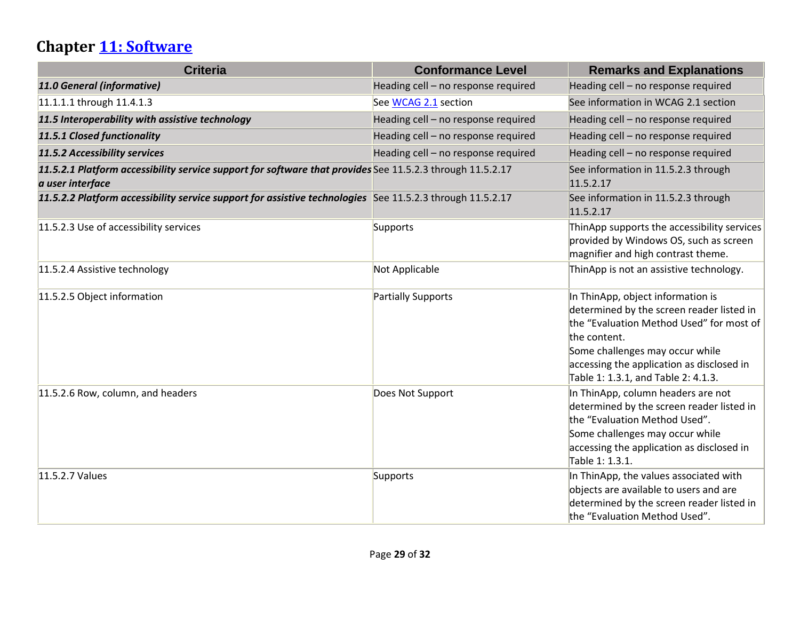## **Chapter [11: Software](https://www.etsi.org/deliver/etsi_en/301500_301599/301549/03.01.01_60/en_301549v030101p.pdf#%5B%7B%22num%22%3A149%2C%22gen%22%3A0%7D%2C%7B%22name%22%3A%22XYZ%22%7D%2C54%2C747%2C0%5D)**

| <b>Criteria</b>                                                                                                               | <b>Conformance Level</b>            | <b>Remarks and Explanations</b>                                                                                                                                                                                                                                   |
|-------------------------------------------------------------------------------------------------------------------------------|-------------------------------------|-------------------------------------------------------------------------------------------------------------------------------------------------------------------------------------------------------------------------------------------------------------------|
| 11.0 General (informative)                                                                                                    | Heading cell - no response required | Heading cell - no response required                                                                                                                                                                                                                               |
| 11.1.1.1 through 11.4.1.3                                                                                                     | See WCAG 2.1 section                | See information in WCAG 2.1 section                                                                                                                                                                                                                               |
| 11.5 Interoperability with assistive technology                                                                               | Heading cell - no response required | Heading cell - no response required                                                                                                                                                                                                                               |
| 11.5.1 Closed functionality                                                                                                   | Heading cell - no response required | Heading cell - no response required                                                                                                                                                                                                                               |
| 11.5.2 Accessibility services                                                                                                 | Heading cell - no response required | Heading cell - no response required                                                                                                                                                                                                                               |
| 11.5.2.1 Platform accessibility service support for software that provides See 11.5.2.3 through 11.5.2.17<br>a user interface |                                     | See information in 11.5.2.3 through<br>11.5.2.17                                                                                                                                                                                                                  |
| 11.5.2.2 Platform accessibility service support for assistive technologies See 11.5.2.3 through 11.5.2.17                     |                                     | See information in 11.5.2.3 through<br>11.5.2.17                                                                                                                                                                                                                  |
| 11.5.2.3 Use of accessibility services                                                                                        | Supports                            | ThinApp supports the accessibility services<br>provided by Windows OS, such as screen<br>magnifier and high contrast theme.                                                                                                                                       |
| 11.5.2.4 Assistive technology                                                                                                 | Not Applicable                      | ThinApp is not an assistive technology.                                                                                                                                                                                                                           |
| 11.5.2.5 Object information                                                                                                   | Partially Supports                  | In ThinApp, object information is<br>determined by the screen reader listed in<br>the "Evaluation Method Used" for most of<br>the content.<br>Some challenges may occur while<br>accessing the application as disclosed in<br>Table 1: 1.3.1, and Table 2: 4.1.3. |
| 11.5.2.6 Row, column, and headers                                                                                             | Does Not Support                    | In ThinApp, column headers are not<br>determined by the screen reader listed in<br>the "Evaluation Method Used".<br>Some challenges may occur while<br>accessing the application as disclosed in<br>Table 1: 1.3.1.                                               |
| 11.5.2.7 Values                                                                                                               | Supports                            | In ThinApp, the values associated with<br>objects are available to users and are<br>determined by the screen reader listed in<br>the "Evaluation Method Used".                                                                                                    |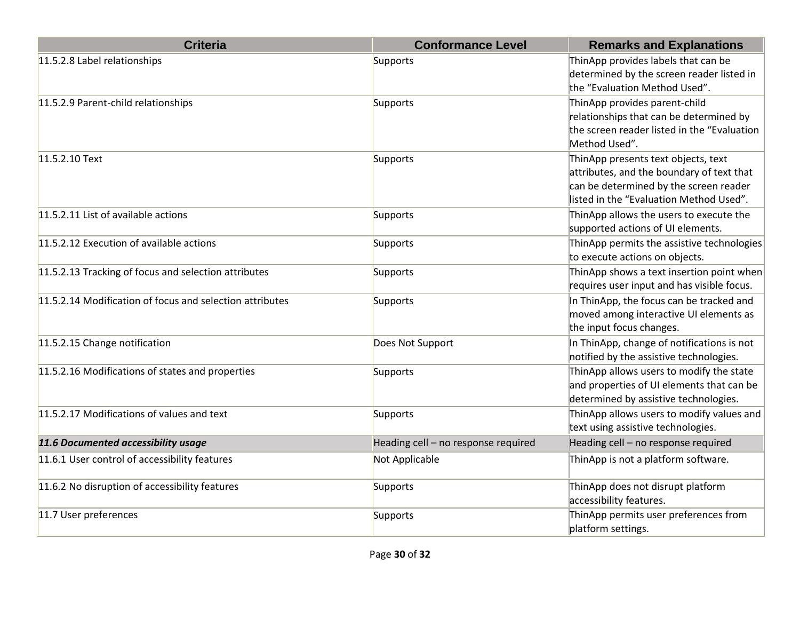| <b>Criteria</b>                                          | <b>Conformance Level</b>            | <b>Remarks and Explanations</b>                                                                                                                                       |
|----------------------------------------------------------|-------------------------------------|-----------------------------------------------------------------------------------------------------------------------------------------------------------------------|
| 11.5.2.8 Label relationships                             | Supports                            | ThinApp provides labels that can be<br>determined by the screen reader listed in<br>the "Evaluation Method Used".                                                     |
| 11.5.2.9 Parent-child relationships                      | Supports                            | ThinApp provides parent-child<br>relationships that can be determined by<br>the screen reader listed in the "Evaluation<br>Method Used".                              |
| 11.5.2.10 Text                                           | Supports                            | ThinApp presents text objects, text<br>attributes, and the boundary of text that<br>can be determined by the screen reader<br>listed in the "Evaluation Method Used". |
| 11.5.2.11 List of available actions                      | Supports                            | ThinApp allows the users to execute the<br>supported actions of UI elements.                                                                                          |
| 11.5.2.12 Execution of available actions                 | Supports                            | ThinApp permits the assistive technologies<br>to execute actions on objects.                                                                                          |
| 11.5.2.13 Tracking of focus and selection attributes     | Supports                            | ThinApp shows a text insertion point when<br>requires user input and has visible focus.                                                                               |
| 11.5.2.14 Modification of focus and selection attributes | Supports                            | In ThinApp, the focus can be tracked and<br>moved among interactive UI elements as<br>the input focus changes.                                                        |
| 11.5.2.15 Change notification                            | Does Not Support                    | In ThinApp, change of notifications is not<br>notified by the assistive technologies.                                                                                 |
| 11.5.2.16 Modifications of states and properties         | Supports                            | ThinApp allows users to modify the state<br>and properties of UI elements that can be<br>determined by assistive technologies.                                        |
| 11.5.2.17 Modifications of values and text               | Supports                            | ThinApp allows users to modify values and<br>text using assistive technologies.                                                                                       |
| 11.6 Documented accessibility usage                      | Heading cell - no response required | Heading cell - no response required                                                                                                                                   |
| 11.6.1 User control of accessibility features            | Not Applicable                      | ThinApp is not a platform software.                                                                                                                                   |
| 11.6.2 No disruption of accessibility features           | Supports                            | ThinApp does not disrupt platform<br>accessibility features.                                                                                                          |
| 11.7 User preferences                                    | Supports                            | ThinApp permits user preferences from<br>platform settings.                                                                                                           |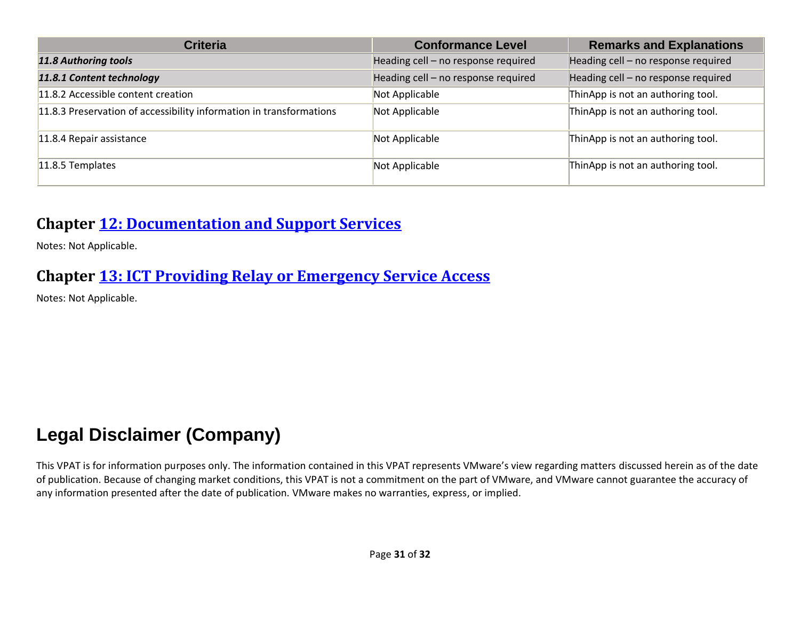| <b>Criteria</b>                                                     | <b>Conformance Level</b>            | <b>Remarks and Explanations</b>     |
|---------------------------------------------------------------------|-------------------------------------|-------------------------------------|
| <b>11.8 Authoring tools</b>                                         | Heading cell - no response required | Heading cell - no response required |
| 11.8.1 Content technology                                           | Heading cell - no response required | Heading cell - no response required |
| 11.8.2 Accessible content creation                                  | Not Applicable                      | ThinApp is not an authoring tool.   |
| 11.8.3 Preservation of accessibility information in transformations | Not Applicable                      | ThinApp is not an authoring tool.   |
| 11.8.4 Repair assistance                                            | Not Applicable                      | ThinApp is not an authoring tool.   |
| 11.8.5 Templates                                                    | Not Applicable                      | ThinApp is not an authoring tool.   |

#### **Chapter [12: Documentation and Support Services](https://www.etsi.org/deliver/etsi_en/301500_301599/301549/03.01.01_60/en_301549v030101p.pdf#%5B%7B%22num%22%3A187%2C%22gen%22%3A0%7D%2C%7B%22name%22%3A%22XYZ%22%7D%2C54%2C747%2C0%5D)**

Notes: Not Applicable.

#### **Chapter [13: ICT Providing Relay or Emergency Service Access](https://www.etsi.org/deliver/etsi_en/301500_301599/301549/03.01.01_60/en_301549v030101p.pdf#%5B%7B%22num%22%3A191%2C%22gen%22%3A0%7D%2C%7B%22name%22%3A%22XYZ%22%7D%2C54%2C747%2C0%5D)**

Notes: Not Applicable.

## **Legal Disclaimer (Company)**

This VPAT is for information purposes only. The information contained in this VPAT represents VMware's view regarding matters discussed herein as of the date of publication. Because of changing market conditions, this VPAT is not a commitment on the part of VMware, and VMware cannot guarantee the accuracy of any information presented after the date of publication. VMware makes no warranties, express, or implied.